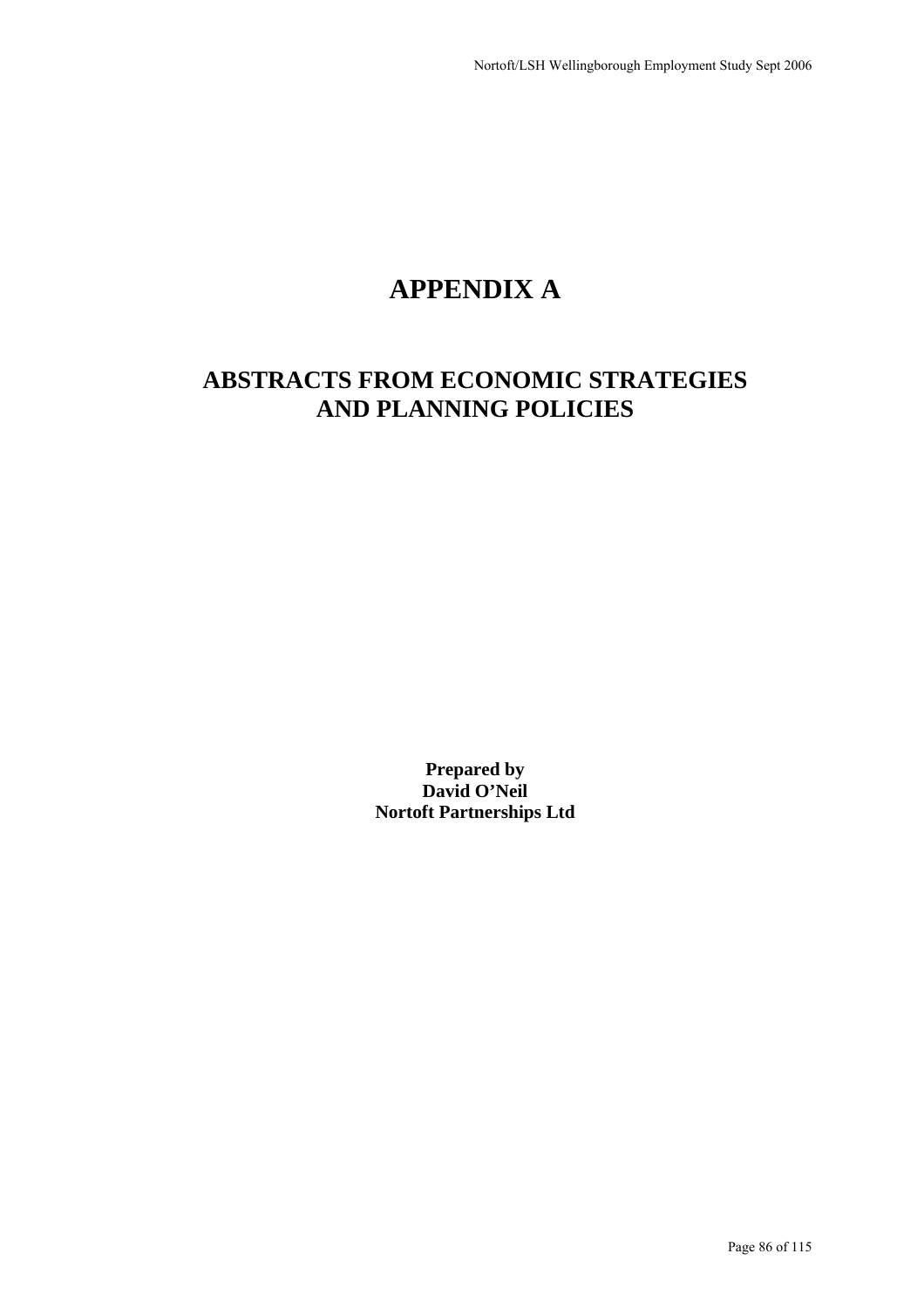# **APPENDIX A**

# **ABSTRACTS FROM ECONOMIC STRATEGIES AND PLANNING POLICIES**

**Prepared by David O'Neil Nortoft Partnerships Ltd**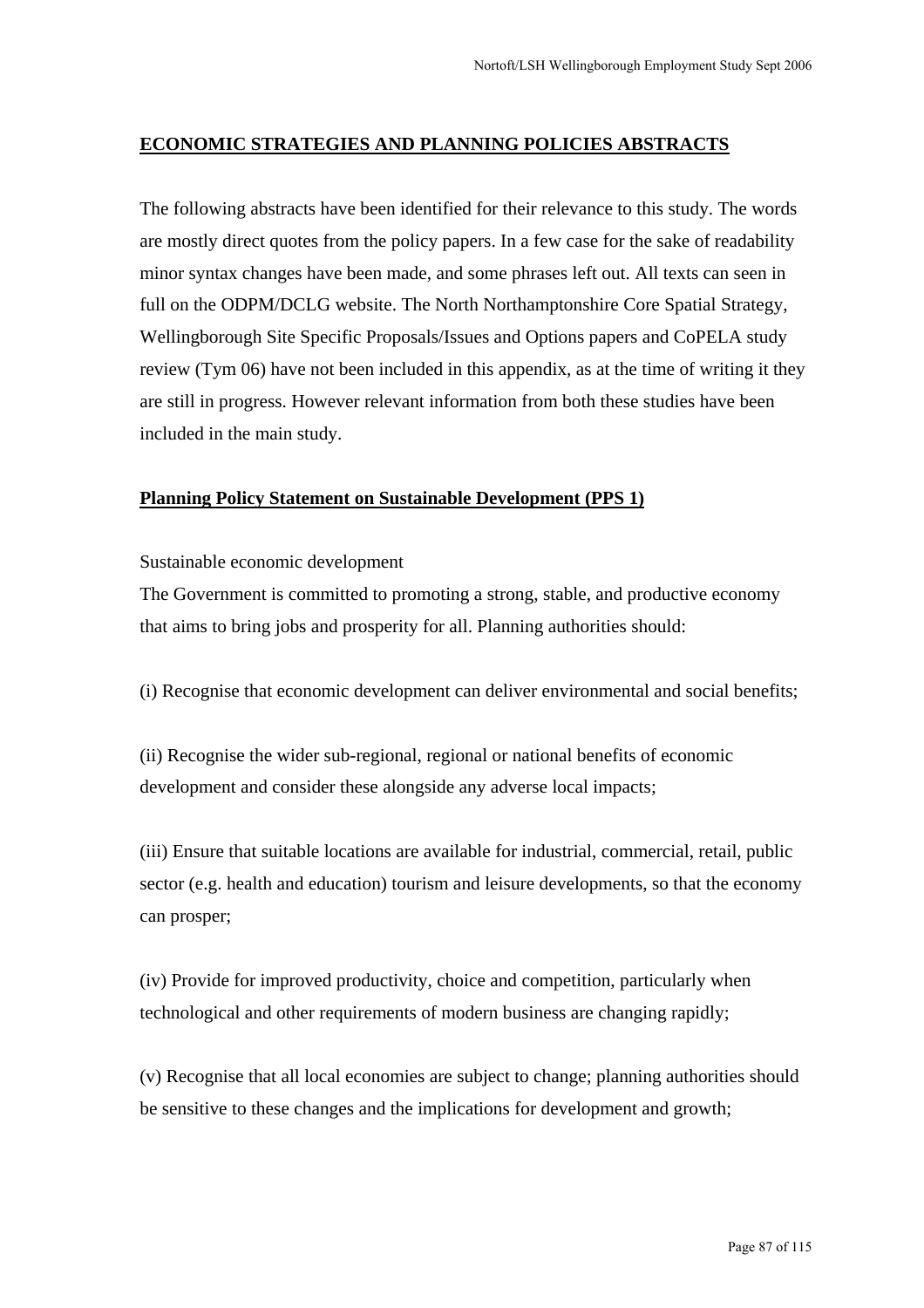### **ECONOMIC STRATEGIES AND PLANNING POLICIES ABSTRACTS**

The following abstracts have been identified for their relevance to this study. The words are mostly direct quotes from the policy papers. In a few case for the sake of readability minor syntax changes have been made, and some phrases left out. All texts can seen in full on the ODPM/DCLG website. The North Northamptonshire Core Spatial Strategy, Wellingborough Site Specific Proposals/Issues and Options papers and CoPELA study review (Tym 06) have not been included in this appendix, as at the time of writing it they are still in progress. However relevant information from both these studies have been included in the main study.

### **Planning Policy Statement on Sustainable Development (PPS 1)**

### Sustainable economic development

The Government is committed to promoting a strong, stable, and productive economy that aims to bring jobs and prosperity for all. Planning authorities should:

(i) Recognise that economic development can deliver environmental and social benefits;

(ii) Recognise the wider sub-regional, regional or national benefits of economic development and consider these alongside any adverse local impacts;

(iii) Ensure that suitable locations are available for industrial, commercial, retail, public sector (e.g. health and education) tourism and leisure developments, so that the economy can prosper;

(iv) Provide for improved productivity, choice and competition, particularly when technological and other requirements of modern business are changing rapidly;

(v) Recognise that all local economies are subject to change; planning authorities should be sensitive to these changes and the implications for development and growth;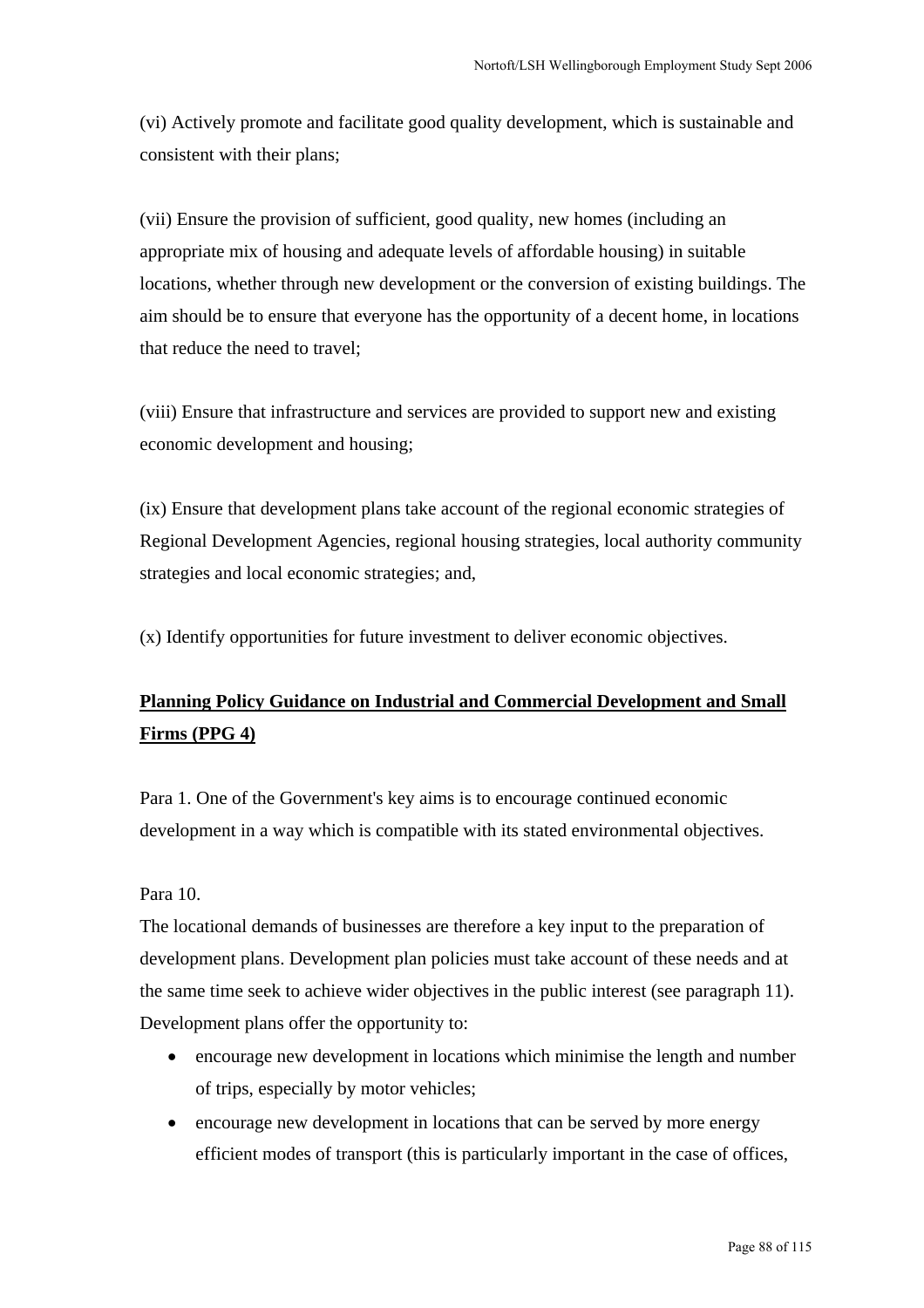(vi) Actively promote and facilitate good quality development, which is sustainable and consistent with their plans;

(vii) Ensure the provision of sufficient, good quality, new homes (including an appropriate mix of housing and adequate levels of affordable housing) in suitable locations, whether through new development or the conversion of existing buildings. The aim should be to ensure that everyone has the opportunity of a decent home, in locations that reduce the need to travel;

(viii) Ensure that infrastructure and services are provided to support new and existing economic development and housing;

(ix) Ensure that development plans take account of the regional economic strategies of Regional Development Agencies, regional housing strategies, local authority community strategies and local economic strategies; and,

(x) Identify opportunities for future investment to deliver economic objectives.

# **Planning Policy Guidance on Industrial and Commercial Development and Small Firms (PPG 4)**

Para 1. One of the Government's key aims is to encourage continued economic development in a way which is compatible with its stated environmental objectives.

### Para 10.

The locational demands of businesses are therefore a key input to the preparation of development plans. Development plan policies must take account of these needs and at the same time seek to achieve wider objectives in the public interest (see paragraph 11). Development plans offer the opportunity to:

- encourage new development in locations which minimise the length and number of trips, especially by motor vehicles;
- encourage new development in locations that can be served by more energy efficient modes of transport (this is particularly important in the case of offices,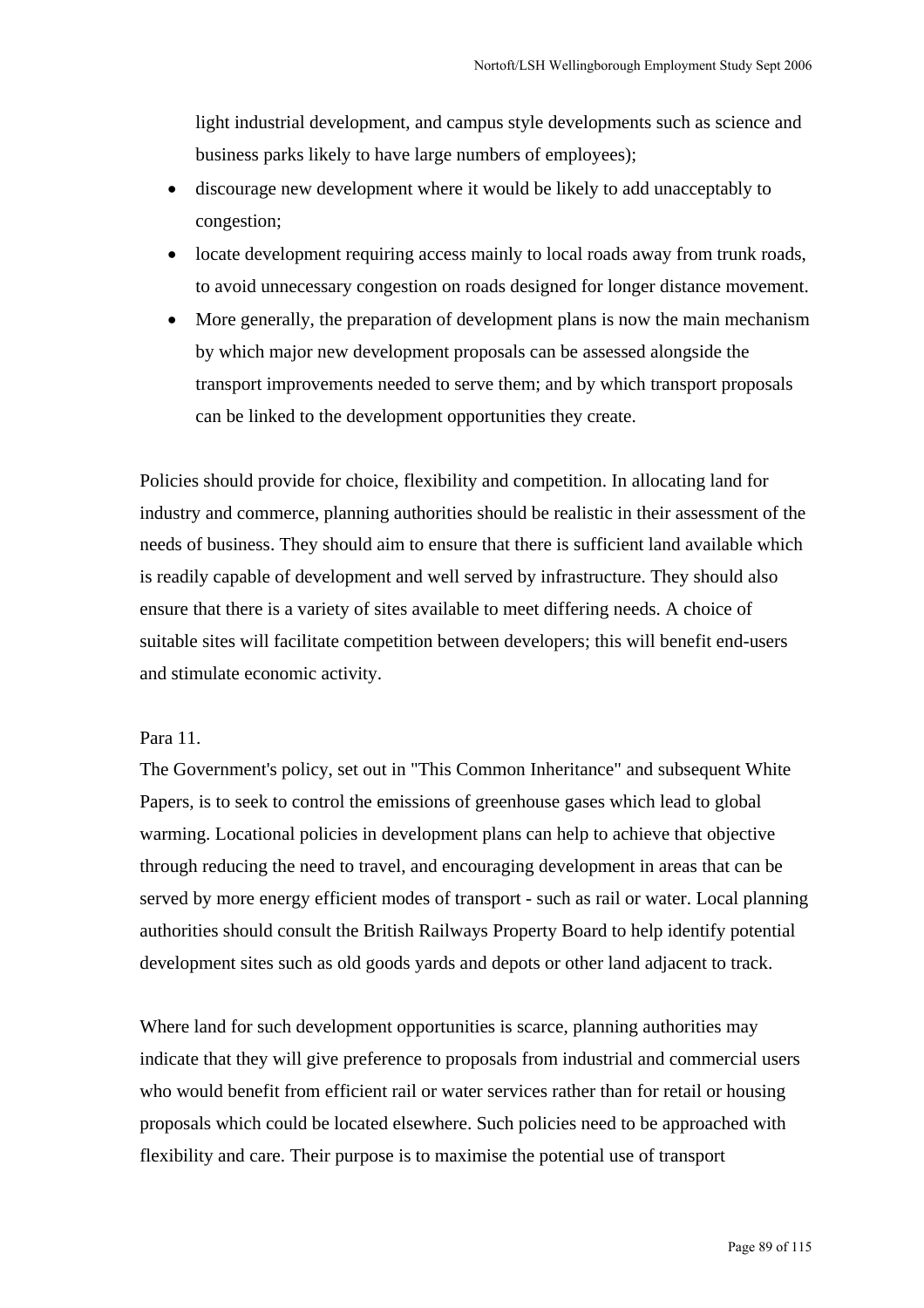light industrial development, and campus style developments such as science and business parks likely to have large numbers of employees);

- discourage new development where it would be likely to add unacceptably to congestion;
- locate development requiring access mainly to local roads away from trunk roads, to avoid unnecessary congestion on roads designed for longer distance movement.
- More generally, the preparation of development plans is now the main mechanism by which major new development proposals can be assessed alongside the transport improvements needed to serve them; and by which transport proposals can be linked to the development opportunities they create.

Policies should provide for choice, flexibility and competition. In allocating land for industry and commerce, planning authorities should be realistic in their assessment of the needs of business. They should aim to ensure that there is sufficient land available which is readily capable of development and well served by infrastructure. They should also ensure that there is a variety of sites available to meet differing needs. A choice of suitable sites will facilitate competition between developers; this will benefit end-users and stimulate economic activity.

### Para 11.

The Government's policy, set out in "This Common Inheritance" and subsequent White Papers, is to seek to control the emissions of greenhouse gases which lead to global warming. Locational policies in development plans can help to achieve that objective through reducing the need to travel, and encouraging development in areas that can be served by more energy efficient modes of transport - such as rail or water. Local planning authorities should consult the British Railways Property Board to help identify potential development sites such as old goods yards and depots or other land adjacent to track.

Where land for such development opportunities is scarce, planning authorities may indicate that they will give preference to proposals from industrial and commercial users who would benefit from efficient rail or water services rather than for retail or housing proposals which could be located elsewhere. Such policies need to be approached with flexibility and care. Their purpose is to maximise the potential use of transport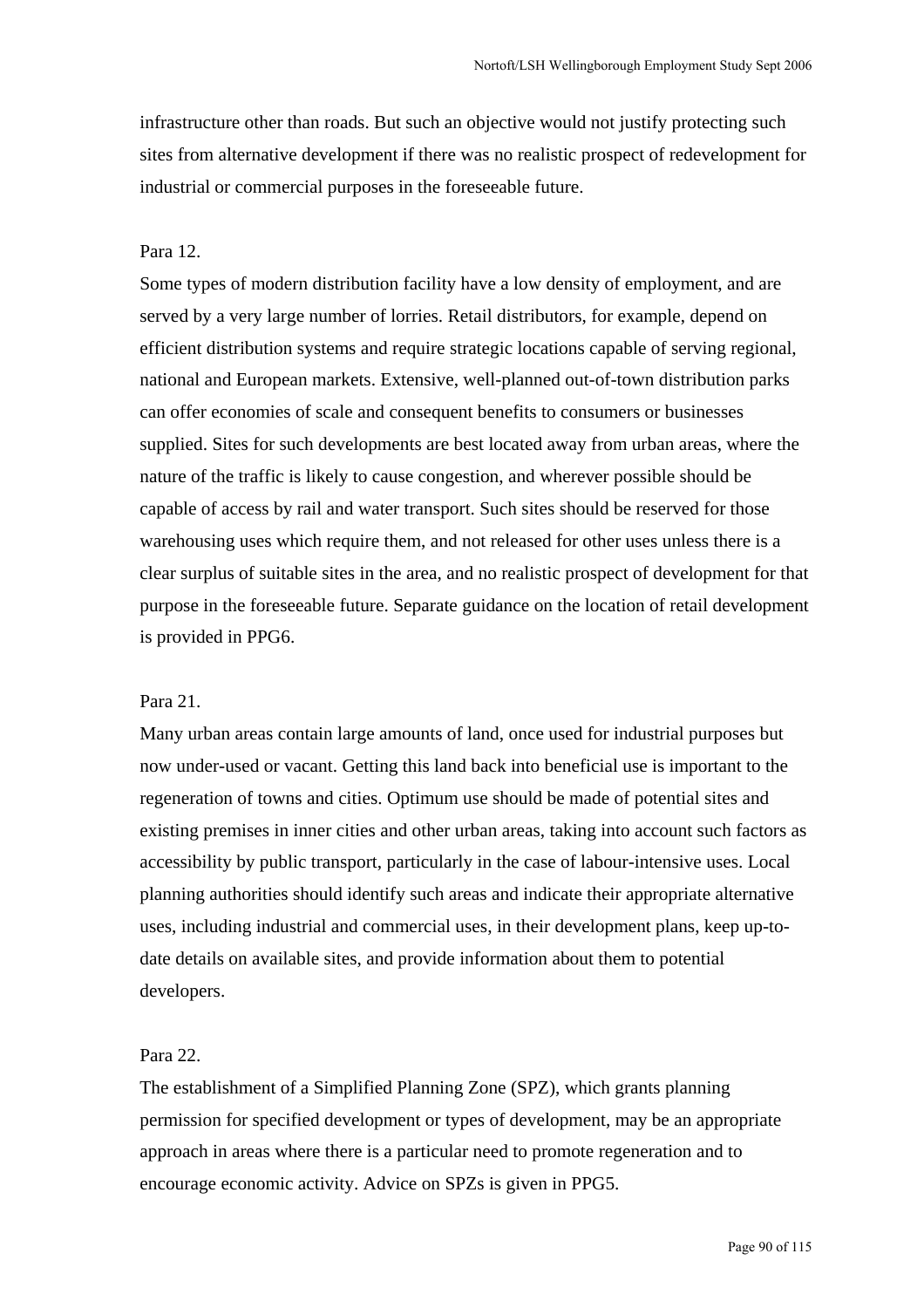infrastructure other than roads. But such an objective would not justify protecting such sites from alternative development if there was no realistic prospect of redevelopment for industrial or commercial purposes in the foreseeable future.

### Para 12.

Some types of modern distribution facility have a low density of employment, and are served by a very large number of lorries. Retail distributors, for example, depend on efficient distribution systems and require strategic locations capable of serving regional, national and European markets. Extensive, well-planned out-of-town distribution parks can offer economies of scale and consequent benefits to consumers or businesses supplied. Sites for such developments are best located away from urban areas, where the nature of the traffic is likely to cause congestion, and wherever possible should be capable of access by rail and water transport. Such sites should be reserved for those warehousing uses which require them, and not released for other uses unless there is a clear surplus of suitable sites in the area, and no realistic prospect of development for that purpose in the foreseeable future. Separate guidance on the location of retail development is provided in PPG6.

#### Para 21.

Many urban areas contain large amounts of land, once used for industrial purposes but now under-used or vacant. Getting this land back into beneficial use is important to the regeneration of towns and cities. Optimum use should be made of potential sites and existing premises in inner cities and other urban areas, taking into account such factors as accessibility by public transport, particularly in the case of labour-intensive uses. Local planning authorities should identify such areas and indicate their appropriate alternative uses, including industrial and commercial uses, in their development plans, keep up-todate details on available sites, and provide information about them to potential developers.

### Para 22.

The establishment of a Simplified Planning Zone (SPZ), which grants planning permission for specified development or types of development, may be an appropriate approach in areas where there is a particular need to promote regeneration and to encourage economic activity. Advice on SPZs is given in PPG5.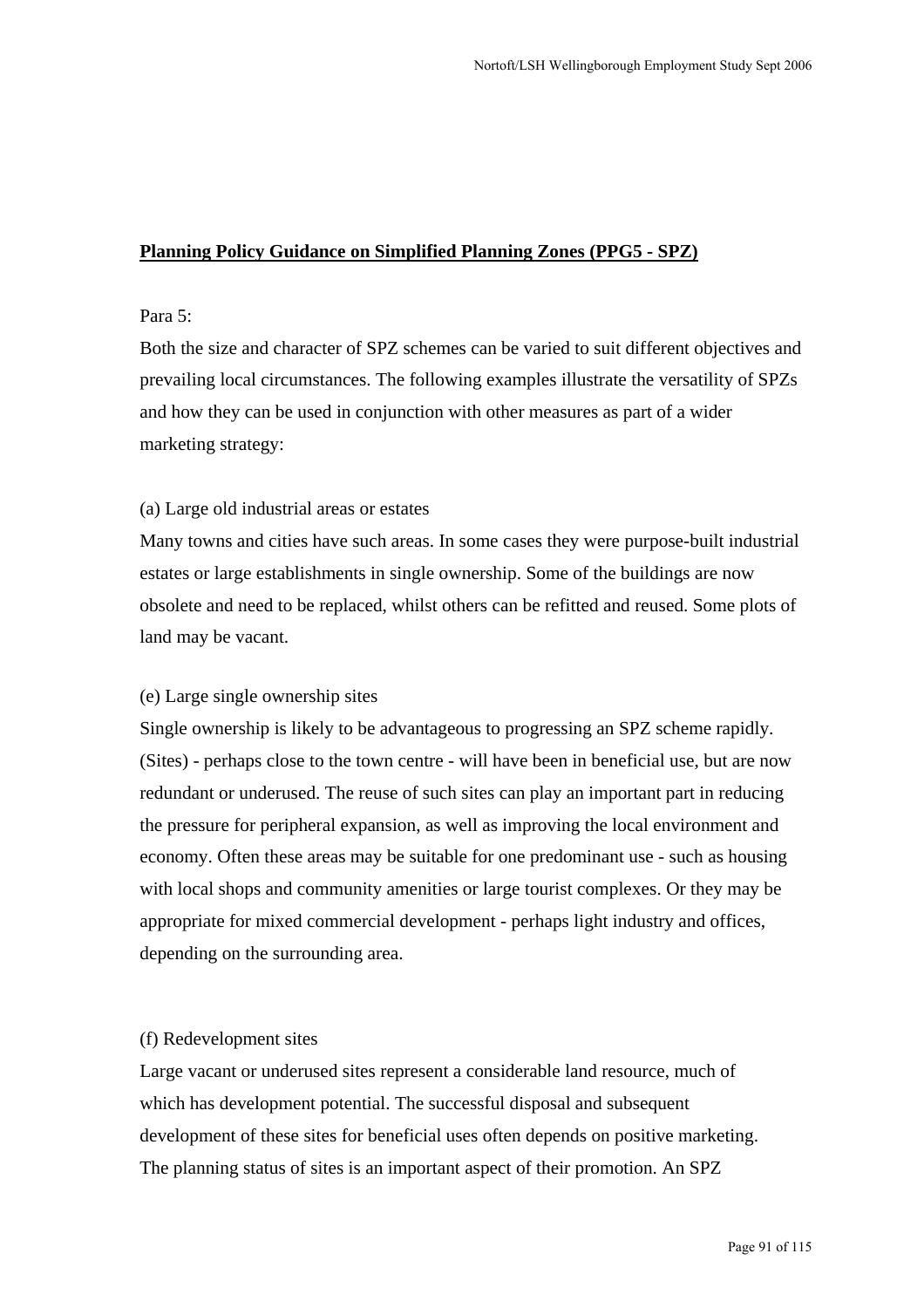## **Planning Policy Guidance on Simplified Planning Zones (PPG5 - SPZ)**

### Para 5:

Both the size and character of SPZ schemes can be varied to suit different objectives and prevailing local circumstances. The following examples illustrate the versatility of SPZs and how they can be used in conjunction with other measures as part of a wider marketing strategy:

### (a) Large old industrial areas or estates

Many towns and cities have such areas. In some cases they were purpose-built industrial estates or large establishments in single ownership. Some of the buildings are now obsolete and need to be replaced, whilst others can be refitted and reused. Some plots of land may be vacant.

### (e) Large single ownership sites

Single ownership is likely to be advantageous to progressing an SPZ scheme rapidly. (Sites) - perhaps close to the town centre - will have been in beneficial use, but are now redundant or underused. The reuse of such sites can play an important part in reducing the pressure for peripheral expansion, as well as improving the local environment and economy. Often these areas may be suitable for one predominant use - such as housing with local shops and community amenities or large tourist complexes. Or they may be appropriate for mixed commercial development - perhaps light industry and offices, depending on the surrounding area.

### (f) Redevelopment sites

Large vacant or underused sites represent a considerable land resource, much of which has development potential. The successful disposal and subsequent development of these sites for beneficial uses often depends on positive marketing. The planning status of sites is an important aspect of their promotion. An SPZ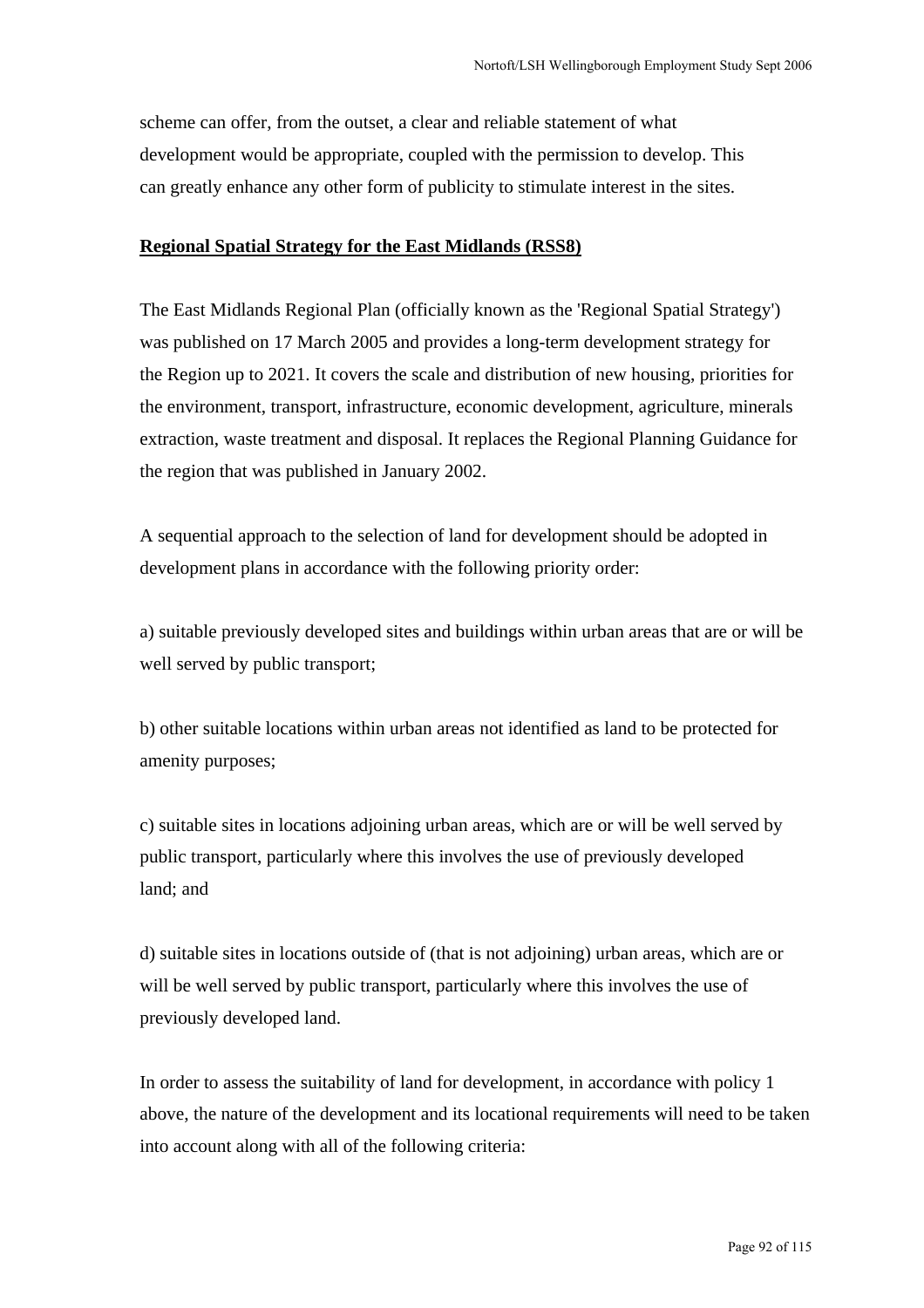scheme can offer, from the outset, a clear and reliable statement of what development would be appropriate, coupled with the permission to develop. This can greatly enhance any other form of publicity to stimulate interest in the sites.

### **Regional Spatial Strategy for the East Midlands (RSS8)**

The East Midlands Regional Plan (officially known as the 'Regional Spatial Strategy') was published on 17 March 2005 and provides a long-term development strategy for the Region up to 2021. It covers the scale and distribution of new housing, priorities for the environment, transport, infrastructure, economic development, agriculture, minerals extraction, waste treatment and disposal. It replaces the Regional Planning Guidance for the region that was published in January 2002.

A sequential approach to the selection of land for development should be adopted in development plans in accordance with the following priority order:

a) suitable previously developed sites and buildings within urban areas that are or will be well served by public transport;

b) other suitable locations within urban areas not identified as land to be protected for amenity purposes;

c) suitable sites in locations adjoining urban areas, which are or will be well served by public transport, particularly where this involves the use of previously developed land; and

d) suitable sites in locations outside of (that is not adjoining) urban areas, which are or will be well served by public transport, particularly where this involves the use of previously developed land.

In order to assess the suitability of land for development, in accordance with policy 1 above, the nature of the development and its locational requirements will need to be taken into account along with all of the following criteria: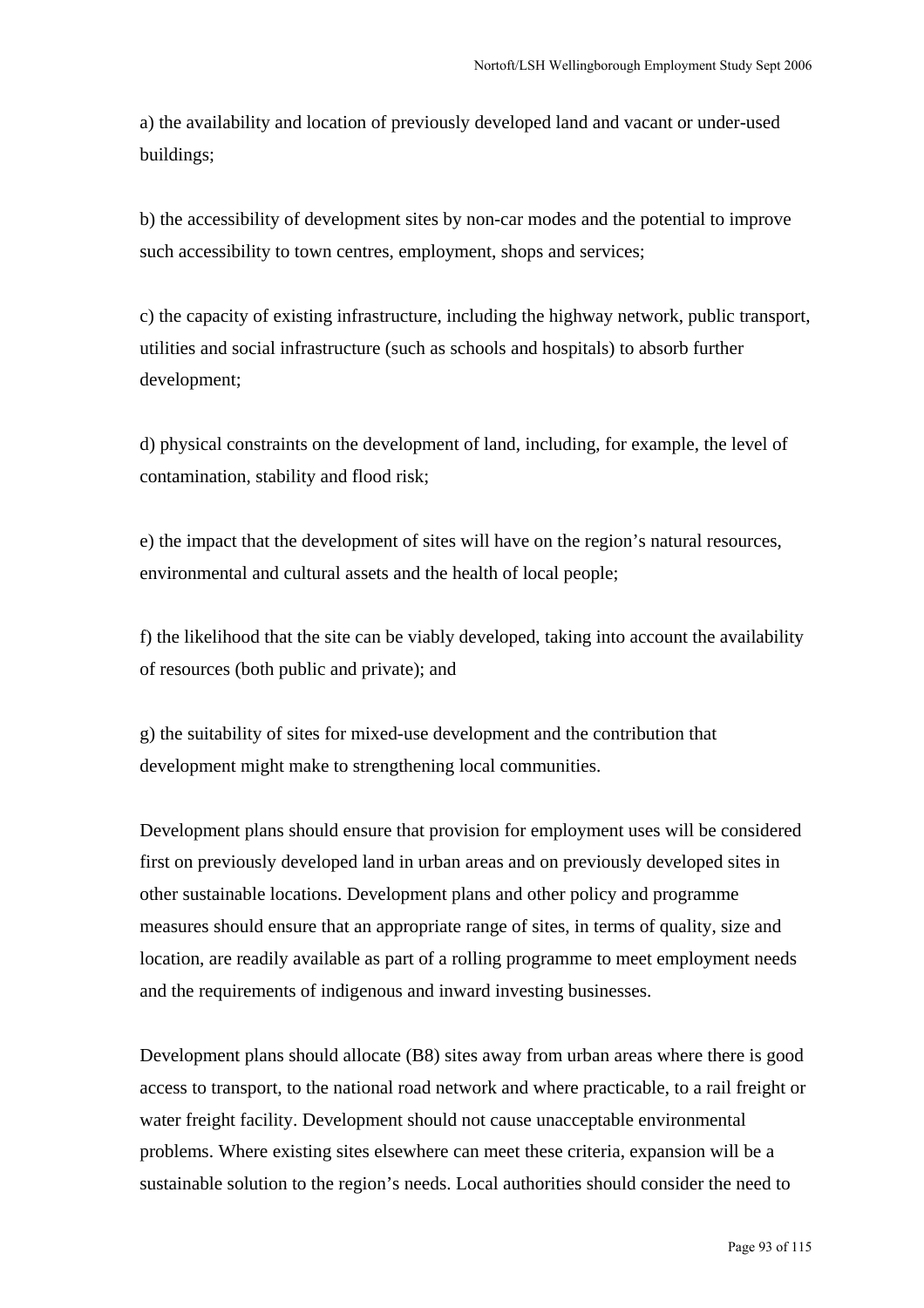a) the availability and location of previously developed land and vacant or under-used buildings;

b) the accessibility of development sites by non-car modes and the potential to improve such accessibility to town centres, employment, shops and services;

c) the capacity of existing infrastructure, including the highway network, public transport, utilities and social infrastructure (such as schools and hospitals) to absorb further development;

d) physical constraints on the development of land, including, for example, the level of contamination, stability and flood risk;

e) the impact that the development of sites will have on the region's natural resources, environmental and cultural assets and the health of local people;

f) the likelihood that the site can be viably developed, taking into account the availability of resources (both public and private); and

g) the suitability of sites for mixed-use development and the contribution that development might make to strengthening local communities.

Development plans should ensure that provision for employment uses will be considered first on previously developed land in urban areas and on previously developed sites in other sustainable locations. Development plans and other policy and programme measures should ensure that an appropriate range of sites, in terms of quality, size and location, are readily available as part of a rolling programme to meet employment needs and the requirements of indigenous and inward investing businesses.

Development plans should allocate (B8) sites away from urban areas where there is good access to transport, to the national road network and where practicable, to a rail freight or water freight facility. Development should not cause unacceptable environmental problems. Where existing sites elsewhere can meet these criteria, expansion will be a sustainable solution to the region's needs. Local authorities should consider the need to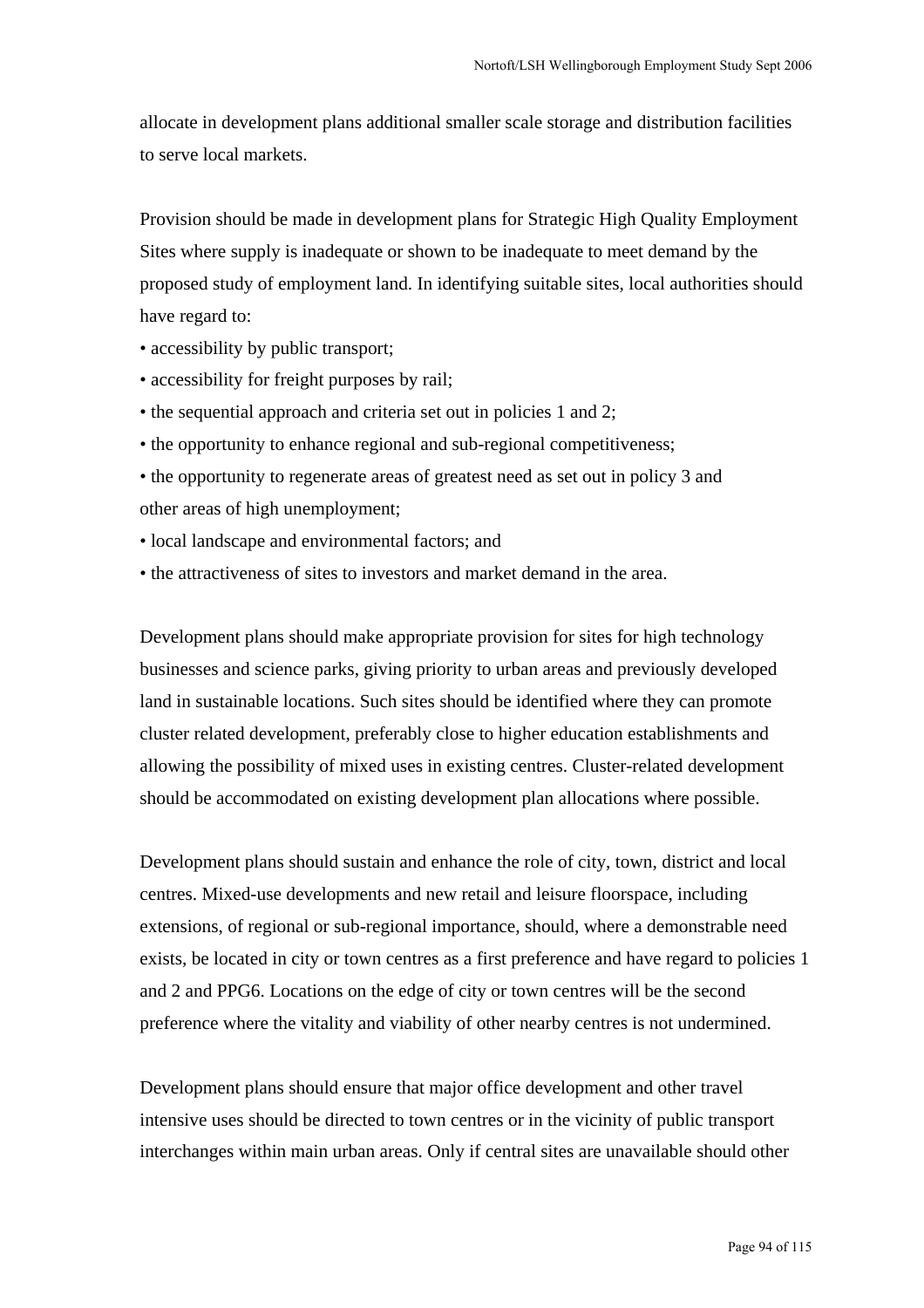allocate in development plans additional smaller scale storage and distribution facilities to serve local markets.

Provision should be made in development plans for Strategic High Quality Employment Sites where supply is inadequate or shown to be inadequate to meet demand by the proposed study of employment land. In identifying suitable sites, local authorities should have regard to:

- accessibility by public transport;
- accessibility for freight purposes by rail;
- the sequential approach and criteria set out in policies 1 and 2;
- the opportunity to enhance regional and sub-regional competitiveness;
- the opportunity to regenerate areas of greatest need as set out in policy 3 and other areas of high unemployment;
- local landscape and environmental factors; and
- the attractiveness of sites to investors and market demand in the area.

Development plans should make appropriate provision for sites for high technology businesses and science parks, giving priority to urban areas and previously developed land in sustainable locations. Such sites should be identified where they can promote cluster related development, preferably close to higher education establishments and allowing the possibility of mixed uses in existing centres. Cluster-related development should be accommodated on existing development plan allocations where possible.

Development plans should sustain and enhance the role of city, town, district and local centres. Mixed-use developments and new retail and leisure floorspace, including extensions, of regional or sub-regional importance, should, where a demonstrable need exists, be located in city or town centres as a first preference and have regard to policies 1 and 2 and PPG6. Locations on the edge of city or town centres will be the second preference where the vitality and viability of other nearby centres is not undermined.

Development plans should ensure that major office development and other travel intensive uses should be directed to town centres or in the vicinity of public transport interchanges within main urban areas. Only if central sites are unavailable should other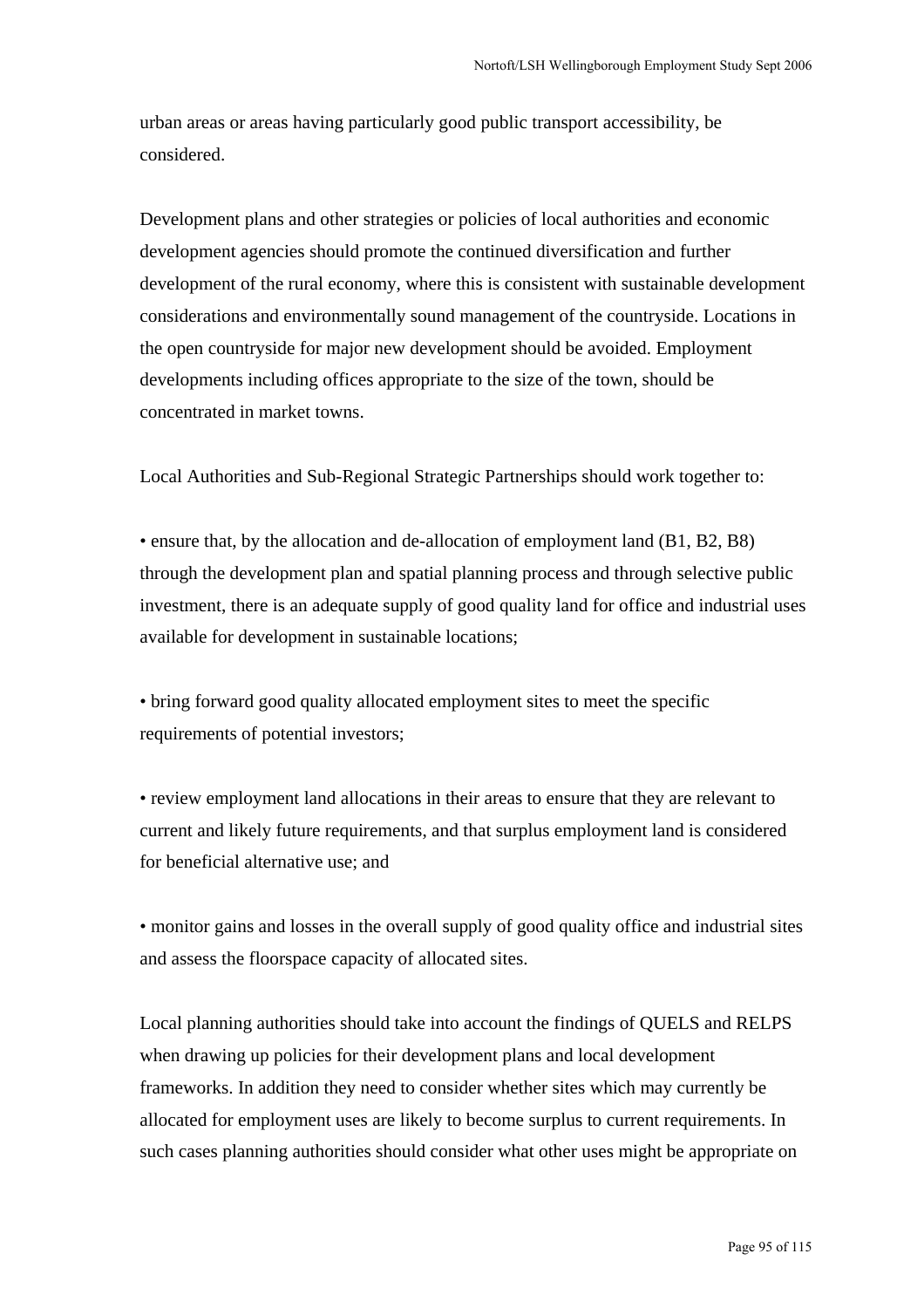urban areas or areas having particularly good public transport accessibility, be considered.

Development plans and other strategies or policies of local authorities and economic development agencies should promote the continued diversification and further development of the rural economy, where this is consistent with sustainable development considerations and environmentally sound management of the countryside. Locations in the open countryside for major new development should be avoided. Employment developments including offices appropriate to the size of the town, should be concentrated in market towns.

Local Authorities and Sub-Regional Strategic Partnerships should work together to:

• ensure that, by the allocation and de-allocation of employment land (B1, B2, B8) through the development plan and spatial planning process and through selective public investment, there is an adequate supply of good quality land for office and industrial uses available for development in sustainable locations;

• bring forward good quality allocated employment sites to meet the specific requirements of potential investors;

• review employment land allocations in their areas to ensure that they are relevant to current and likely future requirements, and that surplus employment land is considered for beneficial alternative use; and

• monitor gains and losses in the overall supply of good quality office and industrial sites and assess the floorspace capacity of allocated sites.

Local planning authorities should take into account the findings of QUELS and RELPS when drawing up policies for their development plans and local development frameworks. In addition they need to consider whether sites which may currently be allocated for employment uses are likely to become surplus to current requirements. In such cases planning authorities should consider what other uses might be appropriate on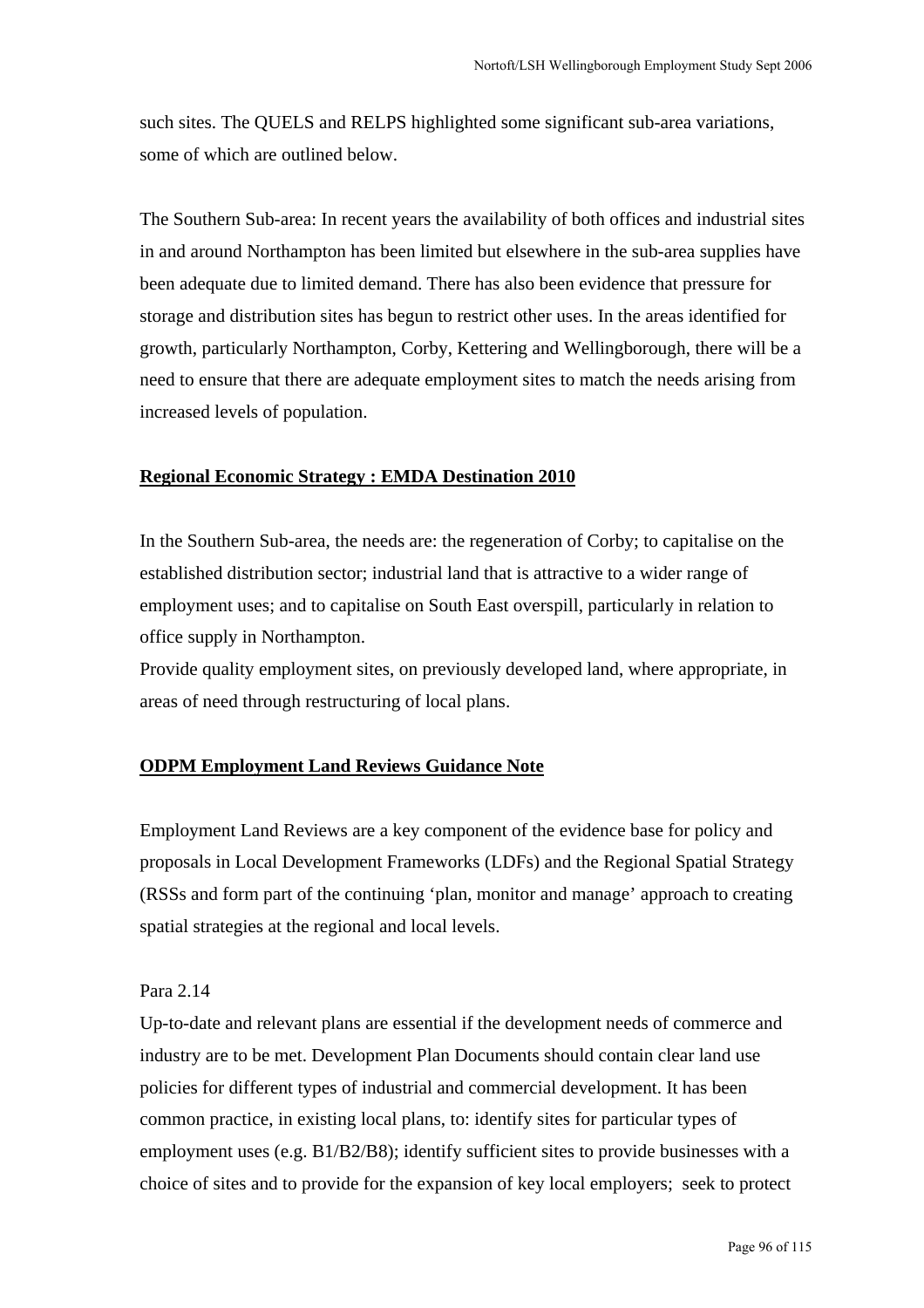such sites. The QUELS and RELPS highlighted some significant sub-area variations, some of which are outlined below.

The Southern Sub-area: In recent years the availability of both offices and industrial sites in and around Northampton has been limited but elsewhere in the sub-area supplies have been adequate due to limited demand. There has also been evidence that pressure for storage and distribution sites has begun to restrict other uses. In the areas identified for growth, particularly Northampton, Corby, Kettering and Wellingborough, there will be a need to ensure that there are adequate employment sites to match the needs arising from increased levels of population.

#### **Regional Economic Strategy : EMDA Destination 2010**

In the Southern Sub-area, the needs are: the regeneration of Corby; to capitalise on the established distribution sector; industrial land that is attractive to a wider range of employment uses; and to capitalise on South East overspill, particularly in relation to office supply in Northampton.

Provide quality employment sites, on previously developed land, where appropriate, in areas of need through restructuring of local plans.

#### **ODPM Employment Land Reviews Guidance Note**

Employment Land Reviews are a key component of the evidence base for policy and proposals in Local Development Frameworks (LDFs) and the Regional Spatial Strategy (RSSs and form part of the continuing 'plan, monitor and manage' approach to creating spatial strategies at the regional and local levels.

#### Para 2.14

Up-to-date and relevant plans are essential if the development needs of commerce and industry are to be met. Development Plan Documents should contain clear land use policies for different types of industrial and commercial development. It has been common practice, in existing local plans, to: identify sites for particular types of employment uses (e.g. B1/B2/B8); identify sufficient sites to provide businesses with a choice of sites and to provide for the expansion of key local employers; seek to protect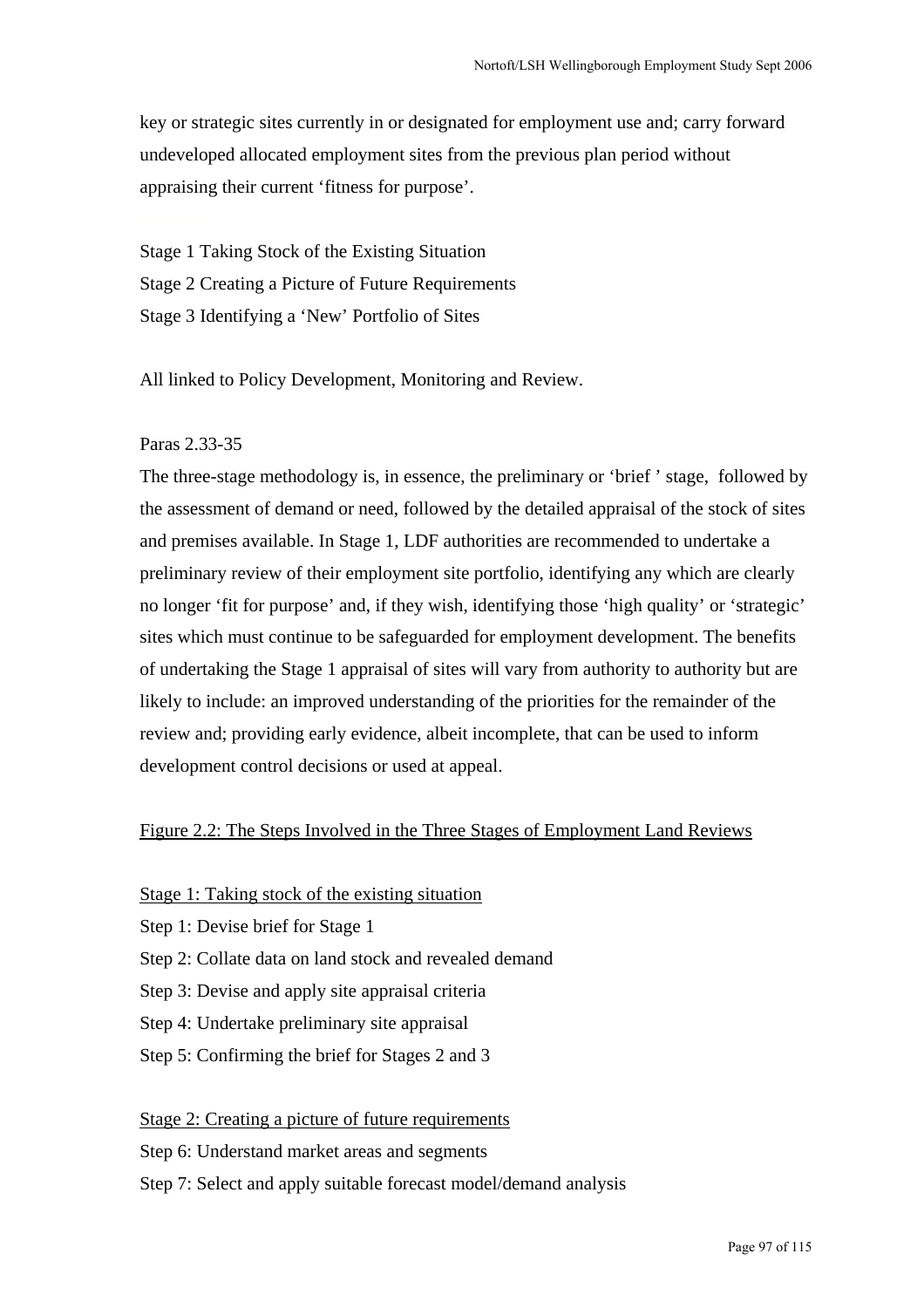key or strategic sites currently in or designated for employment use and; carry forward undeveloped allocated employment sites from the previous plan period without appraising their current 'fitness for purpose'.

Stage 1 Taking Stock of the Existing Situation Stage 2 Creating a Picture of Future Requirements Stage 3 Identifying a 'New' Portfolio of Sites

All linked to Policy Development, Monitoring and Review.

### Paras 2.33-35

The three-stage methodology is, in essence, the preliminary or 'brief ' stage, followed by the assessment of demand or need, followed by the detailed appraisal of the stock of sites and premises available. In Stage 1, LDF authorities are recommended to undertake a preliminary review of their employment site portfolio, identifying any which are clearly no longer 'fit for purpose' and, if they wish, identifying those 'high quality' or 'strategic' sites which must continue to be safeguarded for employment development. The benefits of undertaking the Stage 1 appraisal of sites will vary from authority to authority but are likely to include: an improved understanding of the priorities for the remainder of the review and; providing early evidence, albeit incomplete, that can be used to inform development control decisions or used at appeal.

### Figure 2.2: The Steps Involved in the Three Stages of Employment Land Reviews

- Stage 1: Taking stock of the existing situation
- Step 1: Devise brief for Stage 1
- Step 2: Collate data on land stock and revealed demand
- Step 3: Devise and apply site appraisal criteria
- Step 4: Undertake preliminary site appraisal
- Step 5: Confirming the brief for Stages 2 and 3

### Stage 2: Creating a picture of future requirements

- Step 6: Understand market areas and segments
- Step 7: Select and apply suitable forecast model/demand analysis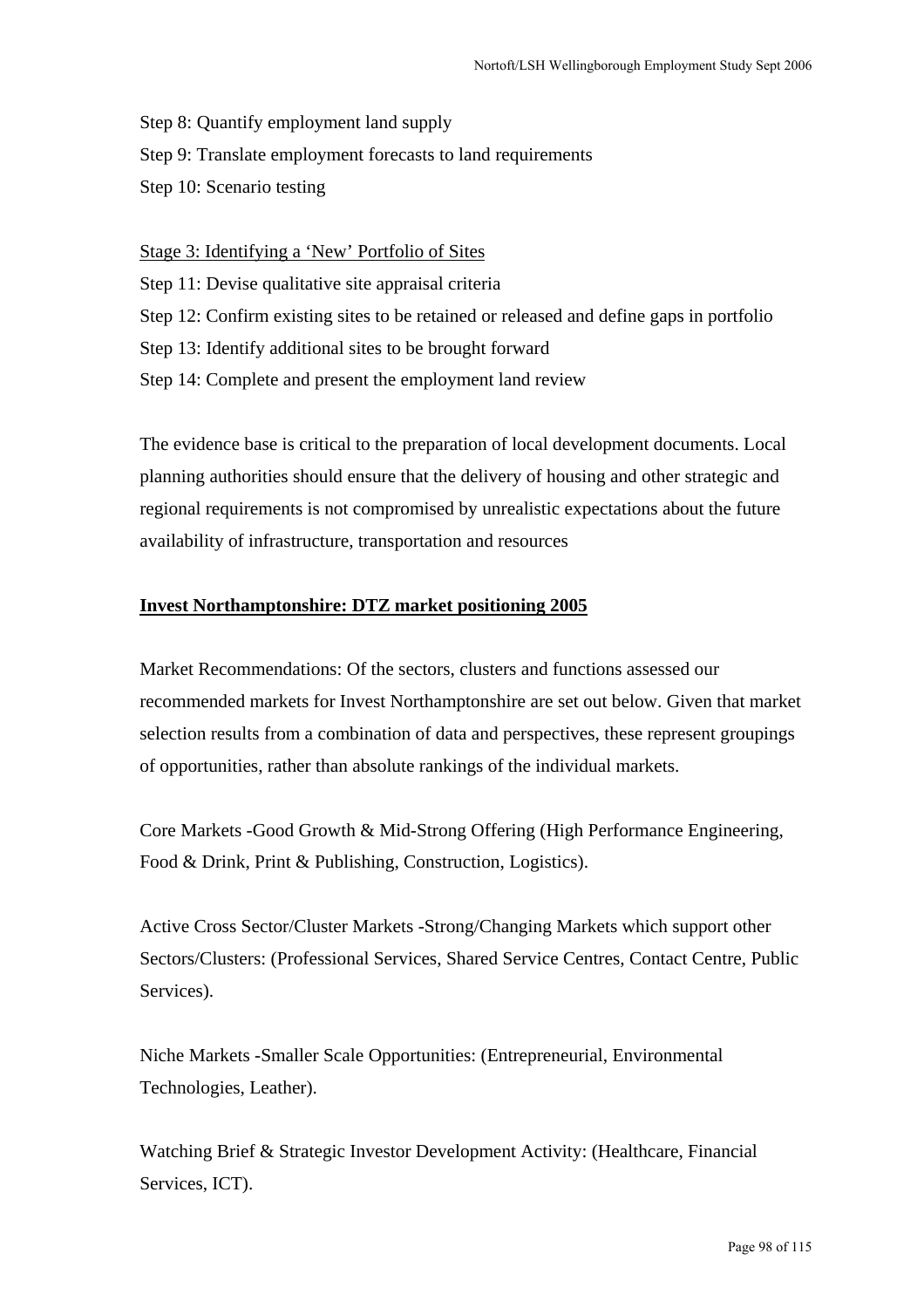Step 8: Quantify employment land supply

Step 9: Translate employment forecasts to land requirements

Step 10: Scenario testing

Stage 3: Identifying a 'New' Portfolio of Sites

Step 11: Devise qualitative site appraisal criteria

- Step 12: Confirm existing sites to be retained or released and define gaps in portfolio
- Step 13: Identify additional sites to be brought forward
- Step 14: Complete and present the employment land review

The evidence base is critical to the preparation of local development documents. Local planning authorities should ensure that the delivery of housing and other strategic and regional requirements is not compromised by unrealistic expectations about the future availability of infrastructure, transportation and resources

### **Invest Northamptonshire: DTZ market positioning 2005**

Market Recommendations: Of the sectors, clusters and functions assessed our recommended markets for Invest Northamptonshire are set out below. Given that market selection results from a combination of data and perspectives, these represent groupings of opportunities, rather than absolute rankings of the individual markets.

Core Markets -Good Growth & Mid-Strong Offering (High Performance Engineering, Food & Drink, Print & Publishing, Construction, Logistics).

Active Cross Sector/Cluster Markets -Strong/Changing Markets which support other Sectors/Clusters: (Professional Services, Shared Service Centres, Contact Centre, Public Services).

Niche Markets -Smaller Scale Opportunities: (Entrepreneurial, Environmental Technologies, Leather).

Watching Brief & Strategic Investor Development Activity: (Healthcare, Financial Services, ICT).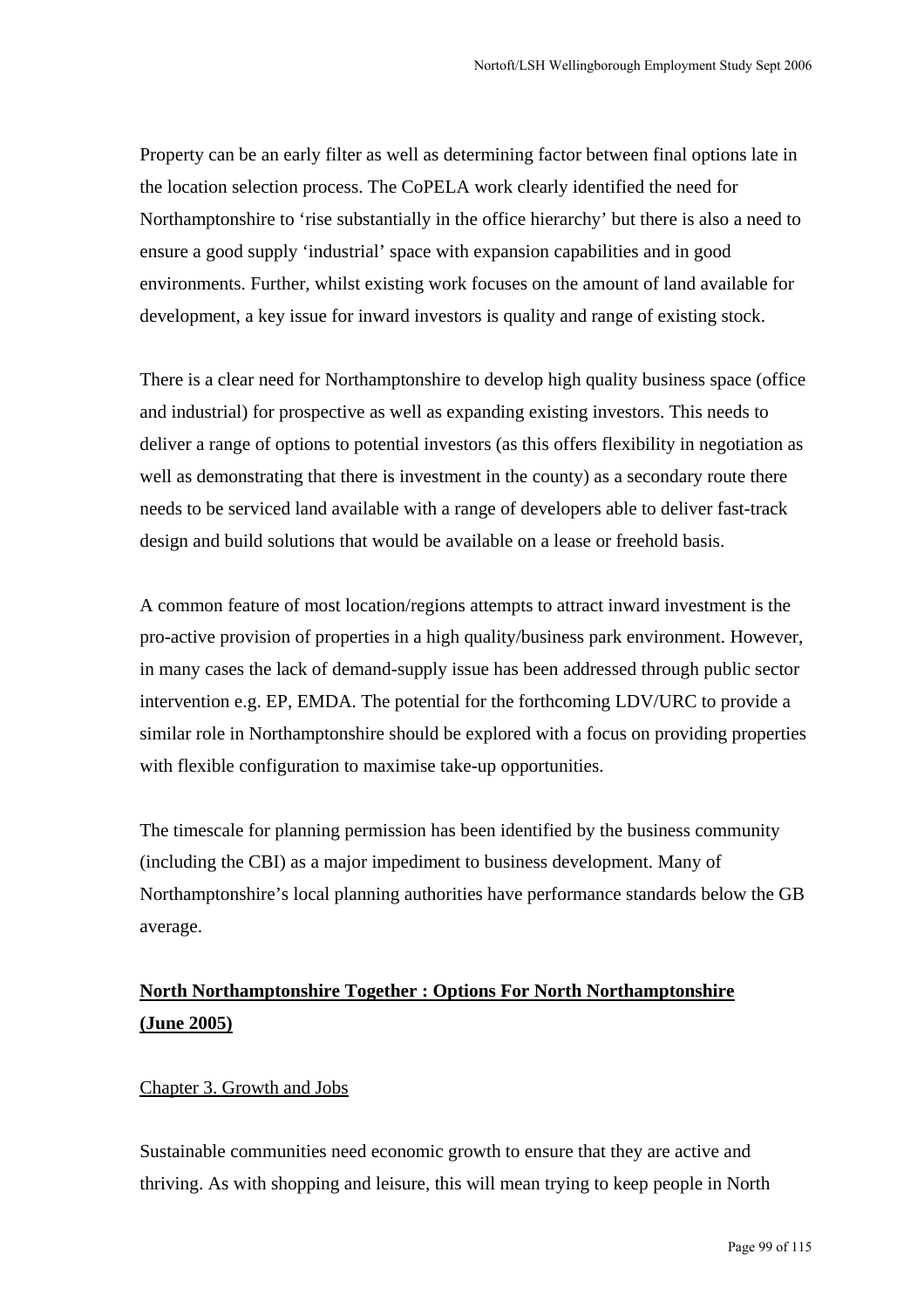Property can be an early filter as well as determining factor between final options late in the location selection process. The CoPELA work clearly identified the need for Northamptonshire to 'rise substantially in the office hierarchy' but there is also a need to ensure a good supply 'industrial' space with expansion capabilities and in good environments. Further, whilst existing work focuses on the amount of land available for development, a key issue for inward investors is quality and range of existing stock.

There is a clear need for Northamptonshire to develop high quality business space (office and industrial) for prospective as well as expanding existing investors. This needs to deliver a range of options to potential investors (as this offers flexibility in negotiation as well as demonstrating that there is investment in the county) as a secondary route there needs to be serviced land available with a range of developers able to deliver fast-track design and build solutions that would be available on a lease or freehold basis.

A common feature of most location/regions attempts to attract inward investment is the pro-active provision of properties in a high quality/business park environment. However, in many cases the lack of demand-supply issue has been addressed through public sector intervention e.g. EP, EMDA. The potential for the forthcoming LDV/URC to provide a similar role in Northamptonshire should be explored with a focus on providing properties with flexible configuration to maximise take-up opportunities.

The timescale for planning permission has been identified by the business community (including the CBI) as a major impediment to business development. Many of Northamptonshire's local planning authorities have performance standards below the GB average.

# **North Northamptonshire Together : Options For North Northamptonshire (June 2005)**

### Chapter 3. Growth and Jobs

Sustainable communities need economic growth to ensure that they are active and thriving. As with shopping and leisure, this will mean trying to keep people in North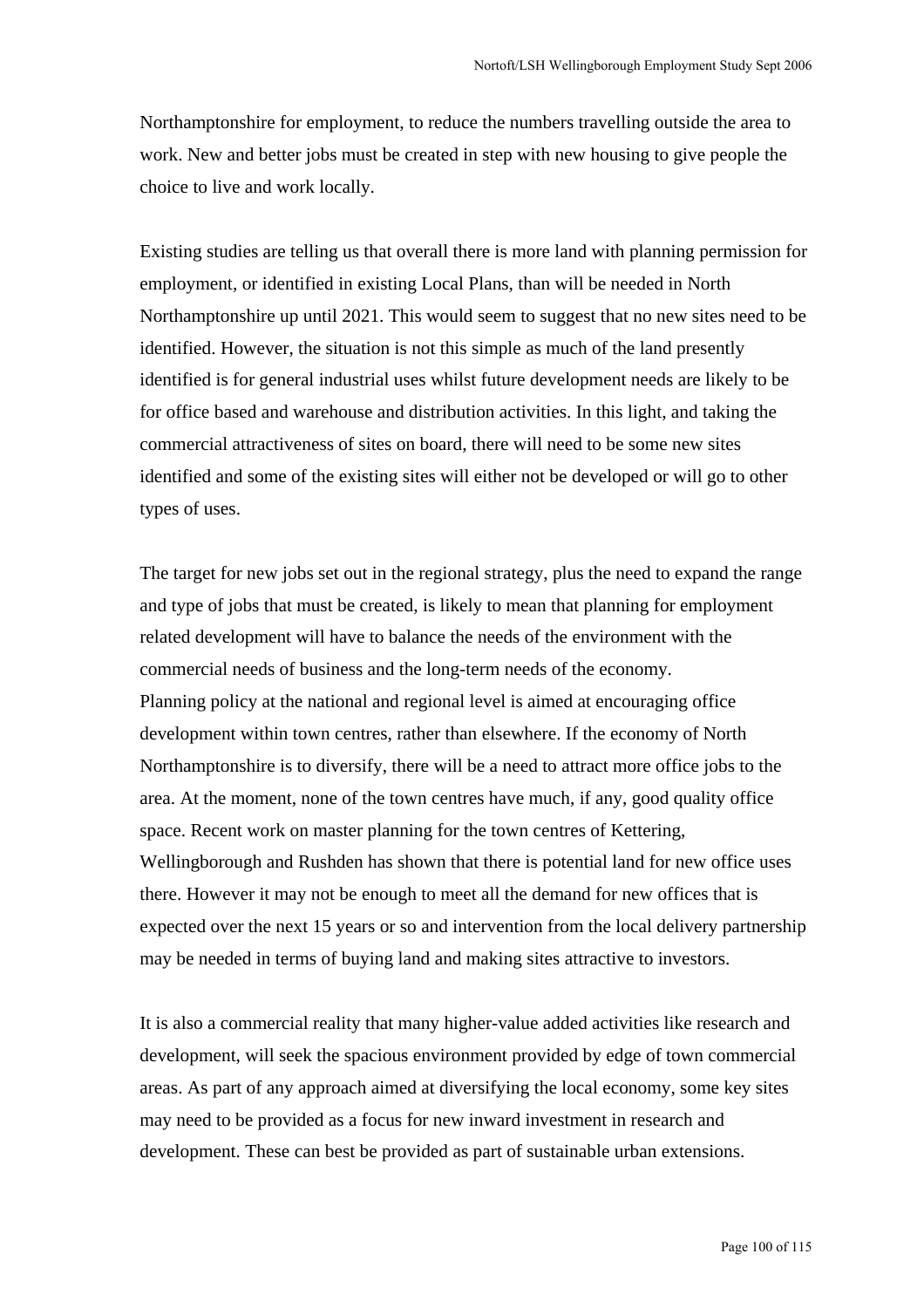Northamptonshire for employment, to reduce the numbers travelling outside the area to work. New and better jobs must be created in step with new housing to give people the choice to live and work locally.

Existing studies are telling us that overall there is more land with planning permission for employment, or identified in existing Local Plans, than will be needed in North Northamptonshire up until 2021. This would seem to suggest that no new sites need to be identified. However, the situation is not this simple as much of the land presently identified is for general industrial uses whilst future development needs are likely to be for office based and warehouse and distribution activities. In this light, and taking the commercial attractiveness of sites on board, there will need to be some new sites identified and some of the existing sites will either not be developed or will go to other types of uses.

The target for new jobs set out in the regional strategy, plus the need to expand the range and type of jobs that must be created, is likely to mean that planning for employment related development will have to balance the needs of the environment with the commercial needs of business and the long-term needs of the economy. Planning policy at the national and regional level is aimed at encouraging office development within town centres, rather than elsewhere. If the economy of North Northamptonshire is to diversify, there will be a need to attract more office jobs to the area. At the moment, none of the town centres have much, if any, good quality office space. Recent work on master planning for the town centres of Kettering, Wellingborough and Rushden has shown that there is potential land for new office uses there. However it may not be enough to meet all the demand for new offices that is expected over the next 15 years or so and intervention from the local delivery partnership may be needed in terms of buying land and making sites attractive to investors.

It is also a commercial reality that many higher-value added activities like research and development, will seek the spacious environment provided by edge of town commercial areas. As part of any approach aimed at diversifying the local economy, some key sites may need to be provided as a focus for new inward investment in research and development. These can best be provided as part of sustainable urban extensions.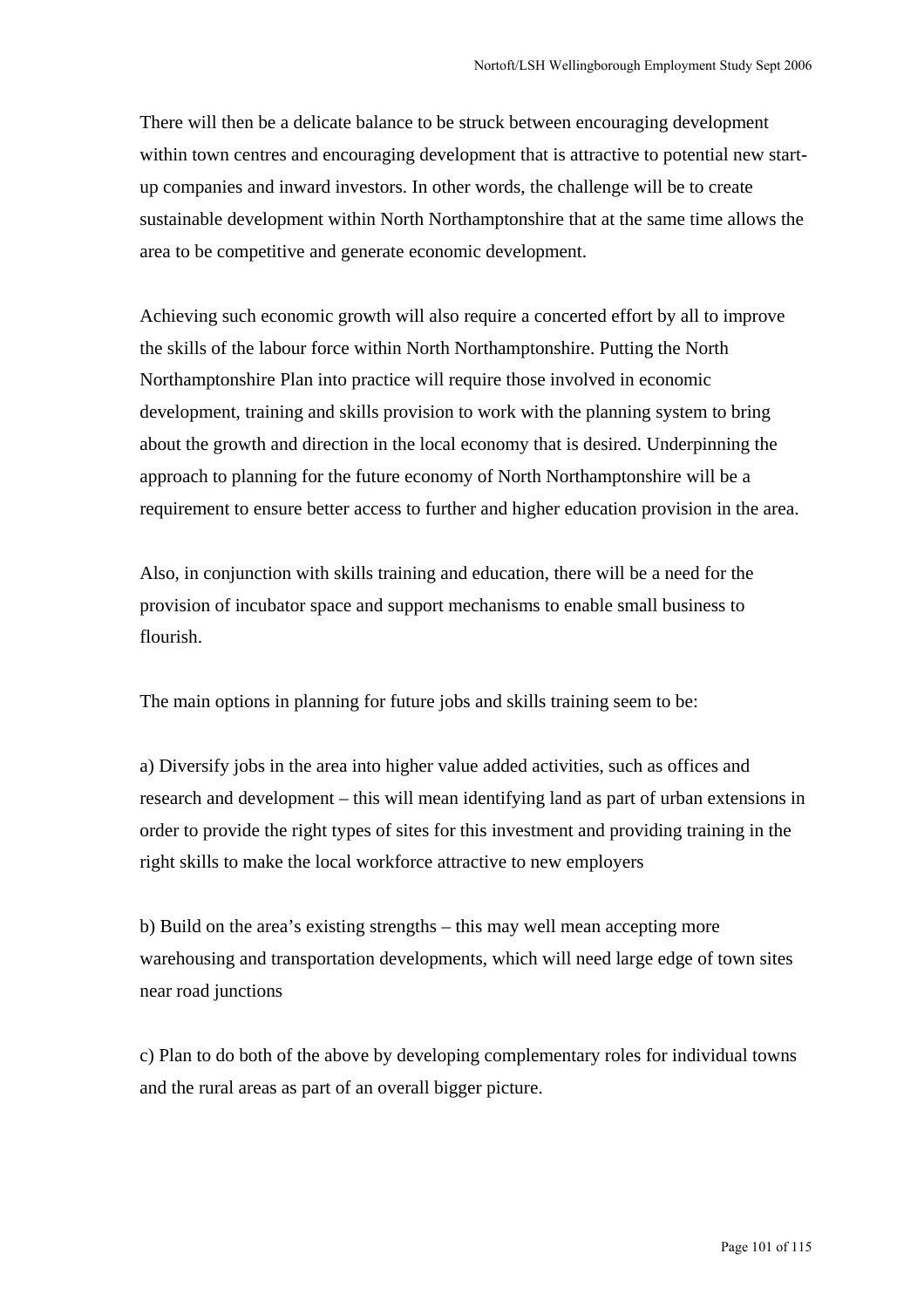There will then be a delicate balance to be struck between encouraging development within town centres and encouraging development that is attractive to potential new startup companies and inward investors. In other words, the challenge will be to create sustainable development within North Northamptonshire that at the same time allows the area to be competitive and generate economic development.

Achieving such economic growth will also require a concerted effort by all to improve the skills of the labour force within North Northamptonshire. Putting the North Northamptonshire Plan into practice will require those involved in economic development, training and skills provision to work with the planning system to bring about the growth and direction in the local economy that is desired. Underpinning the approach to planning for the future economy of North Northamptonshire will be a requirement to ensure better access to further and higher education provision in the area.

Also, in conjunction with skills training and education, there will be a need for the provision of incubator space and support mechanisms to enable small business to flourish.

The main options in planning for future jobs and skills training seem to be:

a) Diversify jobs in the area into higher value added activities, such as offices and research and development – this will mean identifying land as part of urban extensions in order to provide the right types of sites for this investment and providing training in the right skills to make the local workforce attractive to new employers

b) Build on the area's existing strengths – this may well mean accepting more warehousing and transportation developments, which will need large edge of town sites near road junctions

c) Plan to do both of the above by developing complementary roles for individual towns and the rural areas as part of an overall bigger picture.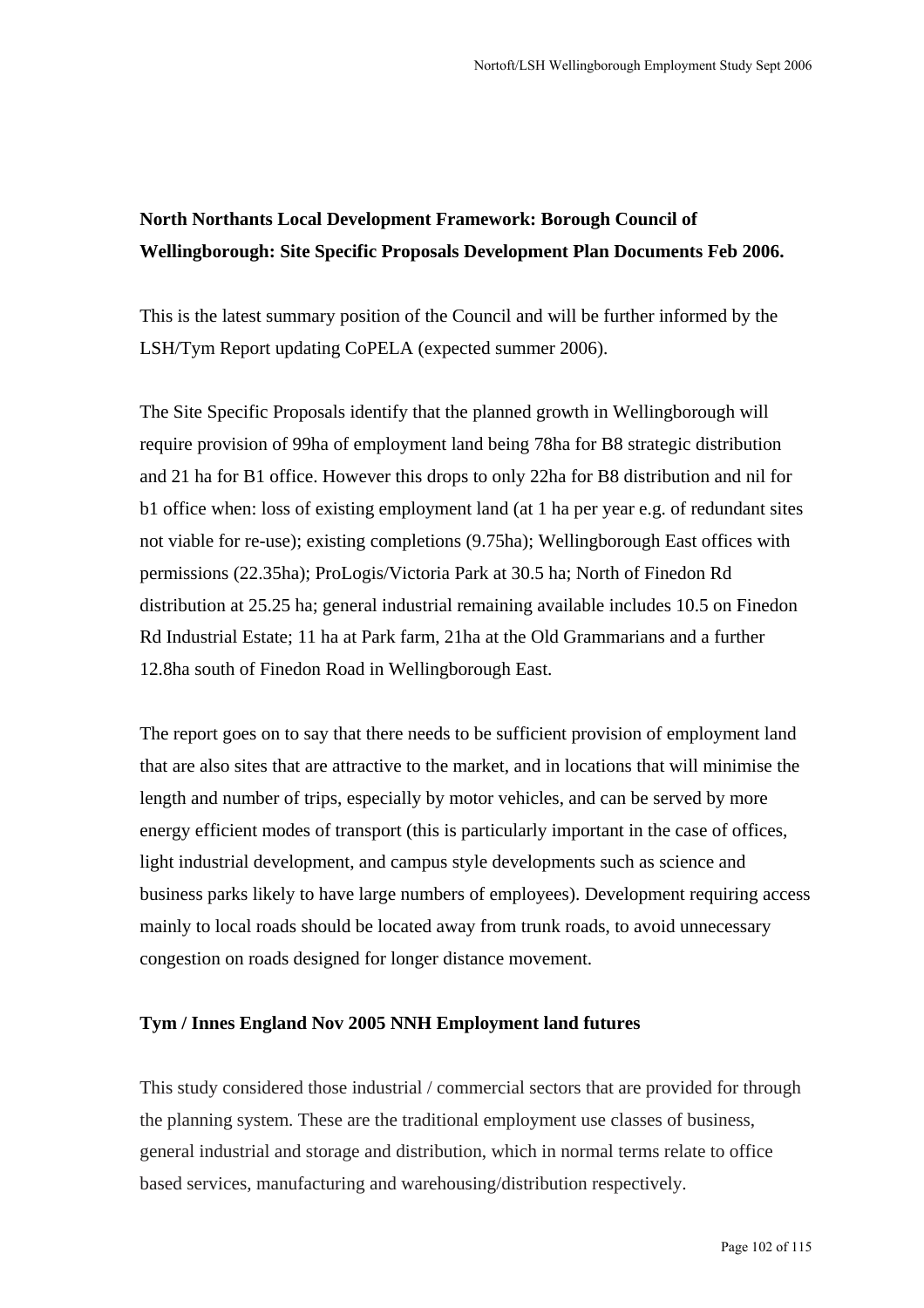# **North Northants Local Development Framework: Borough Council of Wellingborough: Site Specific Proposals Development Plan Documents Feb 2006.**

This is the latest summary position of the Council and will be further informed by the LSH/Tym Report updating CoPELA (expected summer 2006).

The Site Specific Proposals identify that the planned growth in Wellingborough will require provision of 99ha of employment land being 78ha for B8 strategic distribution and 21 ha for B1 office. However this drops to only 22ha for B8 distribution and nil for b1 office when: loss of existing employment land (at 1 ha per year e.g. of redundant sites not viable for re-use); existing completions (9.75ha); Wellingborough East offices with permissions (22.35ha); ProLogis/Victoria Park at 30.5 ha; North of Finedon Rd distribution at 25.25 ha; general industrial remaining available includes 10.5 on Finedon Rd Industrial Estate; 11 ha at Park farm, 21ha at the Old Grammarians and a further 12.8ha south of Finedon Road in Wellingborough East.

The report goes on to say that there needs to be sufficient provision of employment land that are also sites that are attractive to the market, and in locations that will minimise the length and number of trips, especially by motor vehicles, and can be served by more energy efficient modes of transport (this is particularly important in the case of offices, light industrial development, and campus style developments such as science and business parks likely to have large numbers of employees). Development requiring access mainly to local roads should be located away from trunk roads, to avoid unnecessary congestion on roads designed for longer distance movement.

### **Tym / Innes England Nov 2005 NNH Employment land futures**

This study considered those industrial / commercial sectors that are provided for through the planning system. These are the traditional employment use classes of business, general industrial and storage and distribution, which in normal terms relate to office based services, manufacturing and warehousing/distribution respectively.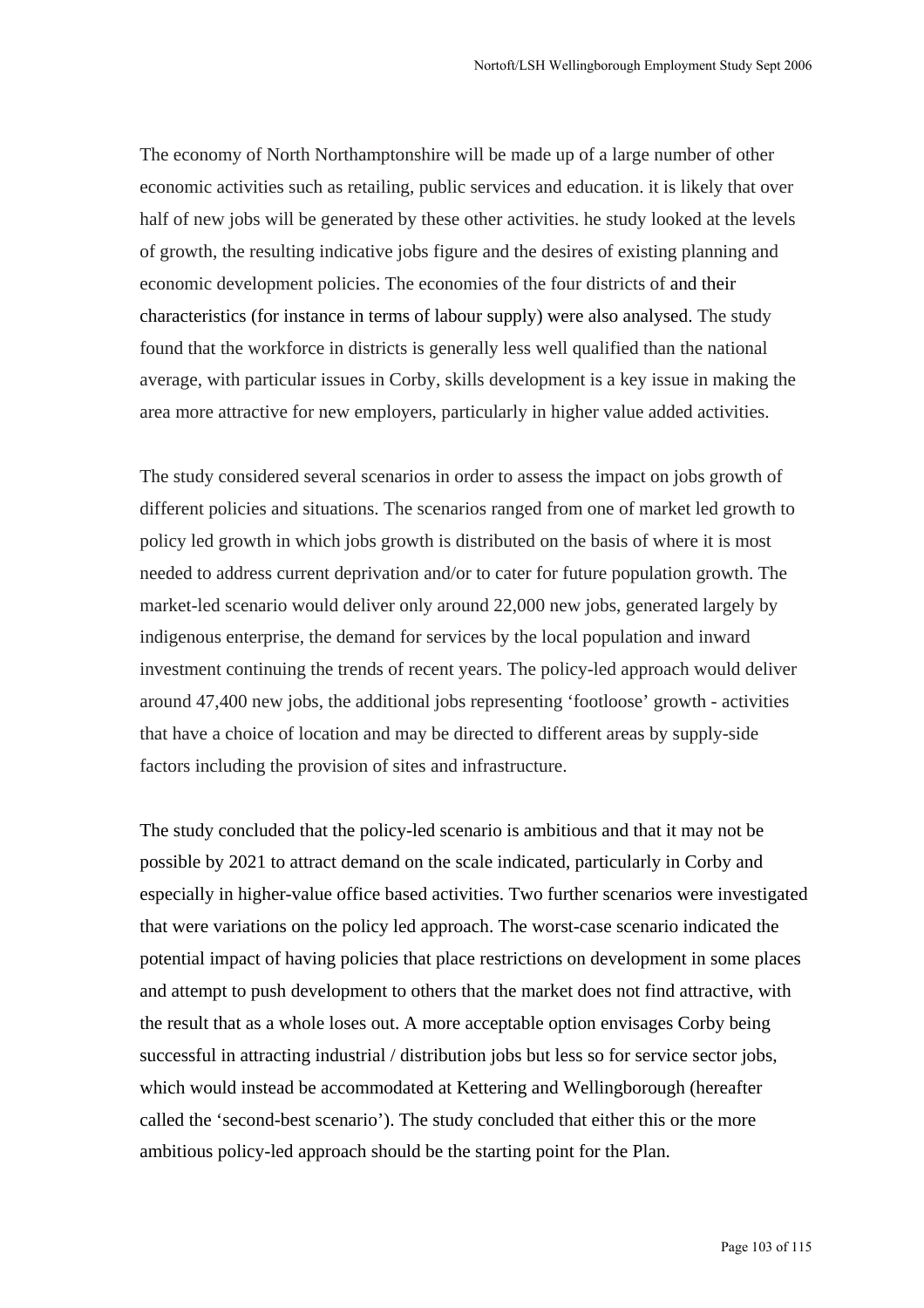The economy of North Northamptonshire will be made up of a large number of other economic activities such as retailing, public services and education. it is likely that over half of new jobs will be generated by these other activities. he study looked at the levels of growth, the resulting indicative jobs figure and the desires of existing planning and economic development policies. The economies of the four districts of and their characteristics (for instance in terms of labour supply) were also analysed. The study found that the workforce in districts is generally less well qualified than the national average, with particular issues in Corby, skills development is a key issue in making the area more attractive for new employers, particularly in higher value added activities.

The study considered several scenarios in order to assess the impact on jobs growth of different policies and situations. The scenarios ranged from one of market led growth to policy led growth in which jobs growth is distributed on the basis of where it is most needed to address current deprivation and/or to cater for future population growth. The market-led scenario would deliver only around 22,000 new jobs, generated largely by indigenous enterprise, the demand for services by the local population and inward investment continuing the trends of recent years. The policy-led approach would deliver around 47,400 new jobs, the additional jobs representing 'footloose' growth - activities that have a choice of location and may be directed to different areas by supply-side factors including the provision of sites and infrastructure.

The study concluded that the policy-led scenario is ambitious and that it may not be possible by 2021 to attract demand on the scale indicated, particularly in Corby and especially in higher-value office based activities. Two further scenarios were investigated that were variations on the policy led approach. The worst-case scenario indicated the potential impact of having policies that place restrictions on development in some places and attempt to push development to others that the market does not find attractive, with the result that as a whole loses out. A more acceptable option envisages Corby being successful in attracting industrial / distribution jobs but less so for service sector jobs, which would instead be accommodated at Kettering and Wellingborough (hereafter called the 'second-best scenario'). The study concluded that either this or the more ambitious policy-led approach should be the starting point for the Plan.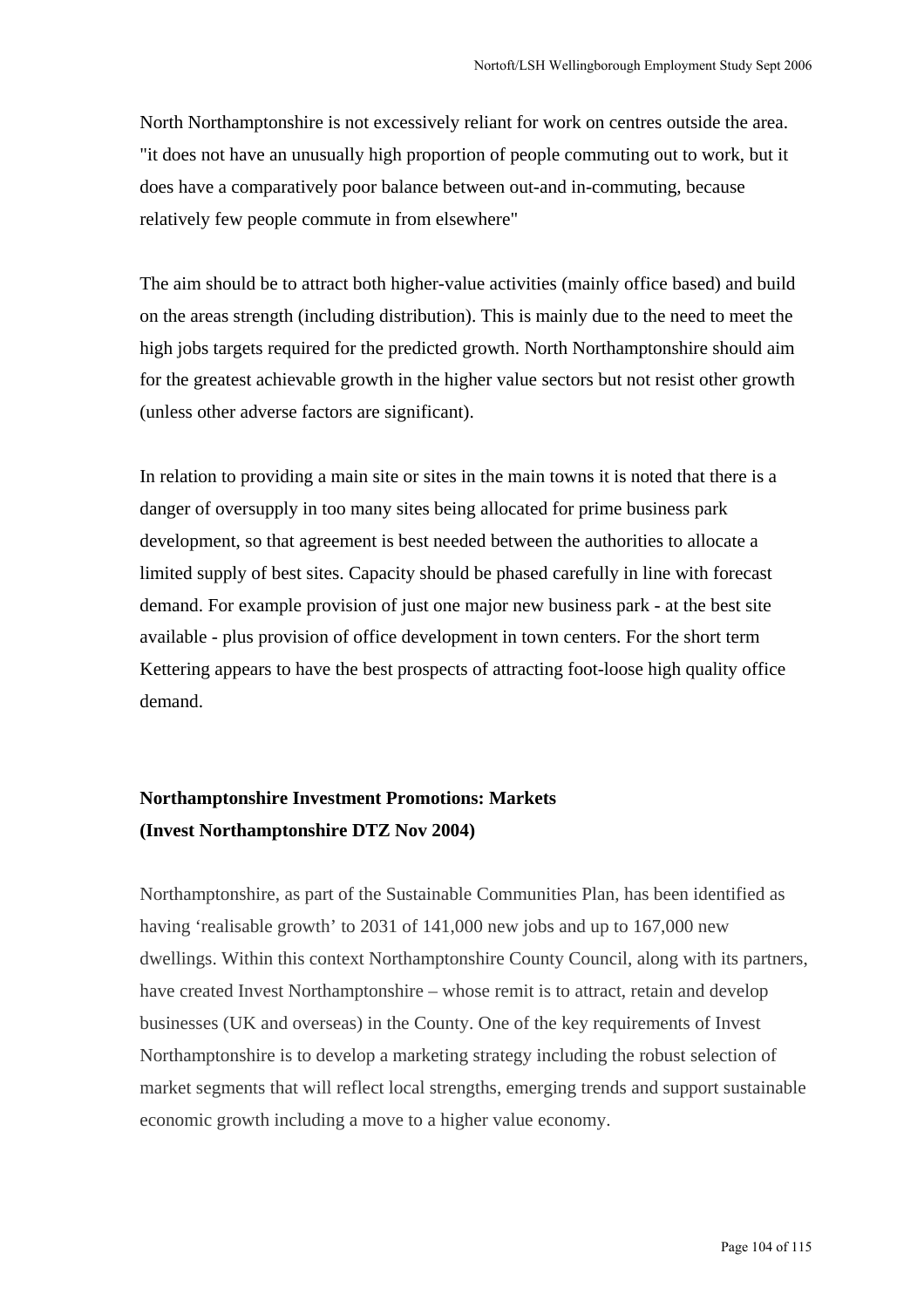North Northamptonshire is not excessively reliant for work on centres outside the area. "it does not have an unusually high proportion of people commuting out to work, but it does have a comparatively poor balance between out-and in-commuting, because relatively few people commute in from elsewhere"

The aim should be to attract both higher-value activities (mainly office based) and build on the areas strength (including distribution). This is mainly due to the need to meet the high jobs targets required for the predicted growth. North Northamptonshire should aim for the greatest achievable growth in the higher value sectors but not resist other growth (unless other adverse factors are significant).

In relation to providing a main site or sites in the main towns it is noted that there is a danger of oversupply in too many sites being allocated for prime business park development, so that agreement is best needed between the authorities to allocate a limited supply of best sites. Capacity should be phased carefully in line with forecast demand. For example provision of just one major new business park - at the best site available - plus provision of office development in town centers. For the short term Kettering appears to have the best prospects of attracting foot-loose high quality office demand.

# **Northamptonshire Investment Promotions: Markets (Invest Northamptonshire DTZ Nov 2004)**

Northamptonshire, as part of the Sustainable Communities Plan, has been identified as having 'realisable growth' to 2031 of 141,000 new jobs and up to 167,000 new dwellings. Within this context Northamptonshire County Council, along with its partners, have created Invest Northamptonshire – whose remit is to attract, retain and develop businesses (UK and overseas) in the County. One of the key requirements of Invest Northamptonshire is to develop a marketing strategy including the robust selection of market segments that will reflect local strengths, emerging trends and support sustainable economic growth including a move to a higher value economy.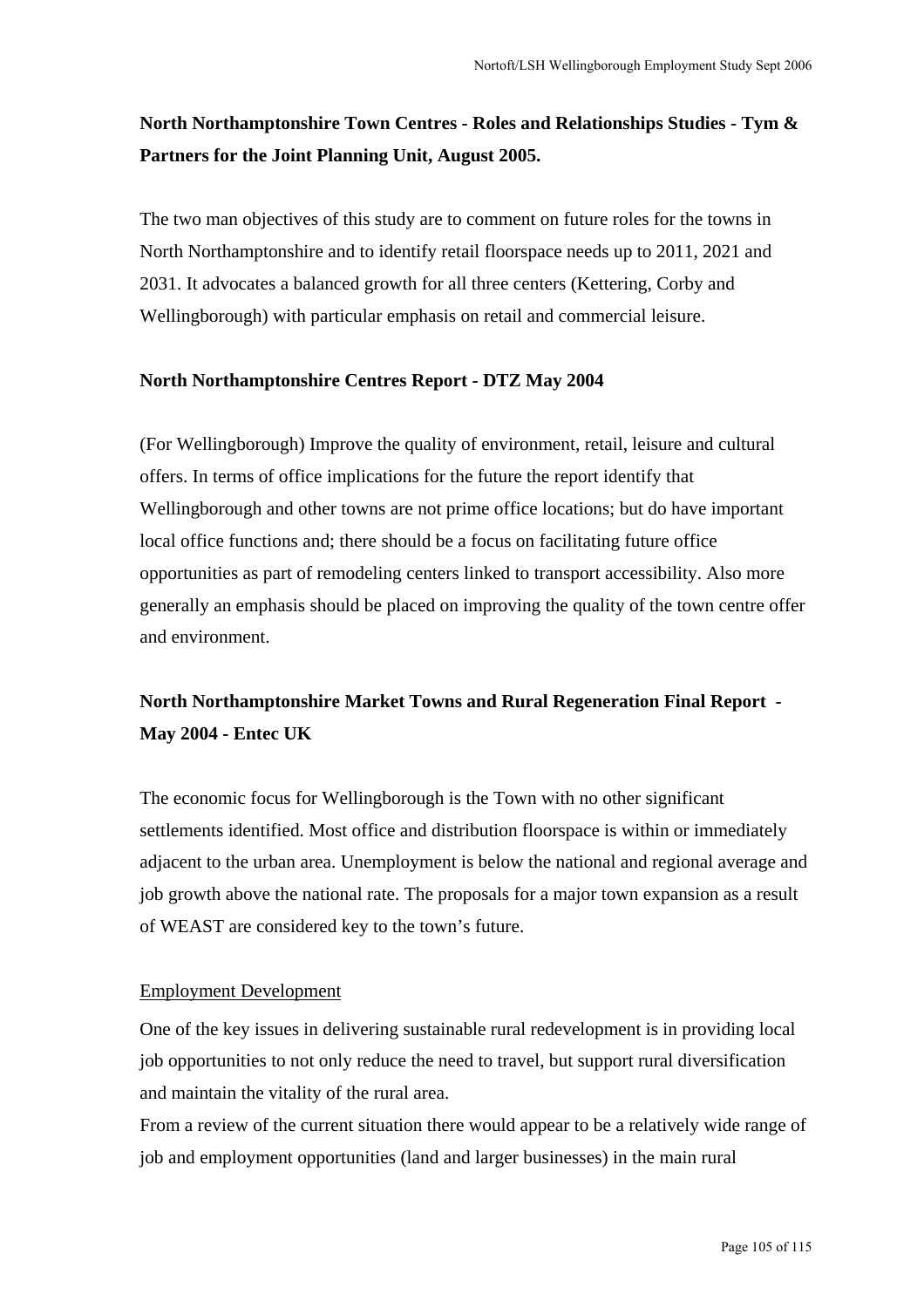# **North Northamptonshire Town Centres - Roles and Relationships Studies - Tym & Partners for the Joint Planning Unit, August 2005.**

The two man objectives of this study are to comment on future roles for the towns in North Northamptonshire and to identify retail floorspace needs up to 2011, 2021 and 2031. It advocates a balanced growth for all three centers (Kettering, Corby and Wellingborough) with particular emphasis on retail and commercial leisure.

### **North Northamptonshire Centres Report - DTZ May 2004**

(For Wellingborough) Improve the quality of environment, retail, leisure and cultural offers. In terms of office implications for the future the report identify that Wellingborough and other towns are not prime office locations; but do have important local office functions and; there should be a focus on facilitating future office opportunities as part of remodeling centers linked to transport accessibility. Also more generally an emphasis should be placed on improving the quality of the town centre offer and environment.

# **North Northamptonshire Market Towns and Rural Regeneration Final Report - May 2004 - Entec UK**

The economic focus for Wellingborough is the Town with no other significant settlements identified. Most office and distribution floorspace is within or immediately adjacent to the urban area. Unemployment is below the national and regional average and job growth above the national rate. The proposals for a major town expansion as a result of WEAST are considered key to the town's future.

### Employment Development

One of the key issues in delivering sustainable rural redevelopment is in providing local job opportunities to not only reduce the need to travel, but support rural diversification and maintain the vitality of the rural area.

From a review of the current situation there would appear to be a relatively wide range of job and employment opportunities (land and larger businesses) in the main rural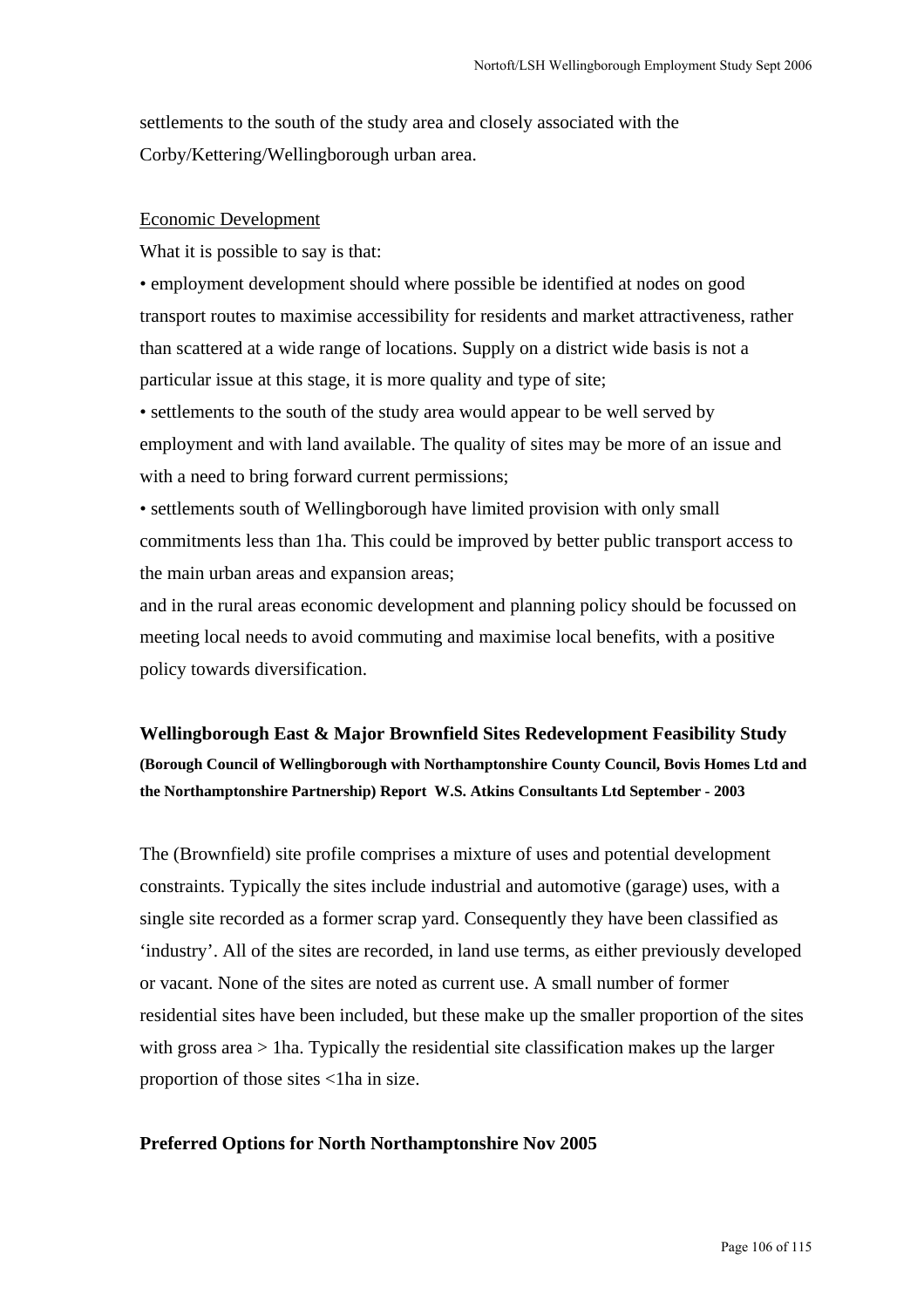settlements to the south of the study area and closely associated with the Corby/Kettering/Wellingborough urban area.

#### Economic Development

What it is possible to say is that:

• employment development should where possible be identified at nodes on good transport routes to maximise accessibility for residents and market attractiveness, rather than scattered at a wide range of locations. Supply on a district wide basis is not a particular issue at this stage, it is more quality and type of site;

• settlements to the south of the study area would appear to be well served by employment and with land available. The quality of sites may be more of an issue and with a need to bring forward current permissions;

• settlements south of Wellingborough have limited provision with only small commitments less than 1ha. This could be improved by better public transport access to the main urban areas and expansion areas;

and in the rural areas economic development and planning policy should be focussed on meeting local needs to avoid commuting and maximise local benefits, with a positive policy towards diversification.

**Wellingborough East & Major Brownfield Sites Redevelopment Feasibility Study (Borough Council of Wellingborough with Northamptonshire County Council, Bovis Homes Ltd and the Northamptonshire Partnership) Report W.S. Atkins Consultants Ltd September - 2003**

The (Brownfield) site profile comprises a mixture of uses and potential development constraints. Typically the sites include industrial and automotive (garage) uses, with a single site recorded as a former scrap yard. Consequently they have been classified as 'industry'. All of the sites are recorded, in land use terms, as either previously developed or vacant. None of the sites are noted as current use. A small number of former residential sites have been included, but these make up the smaller proportion of the sites with gross area > 1ha. Typically the residential site classification makes up the larger proportion of those sites <1ha in size.

### **Preferred Options for North Northamptonshire Nov 2005**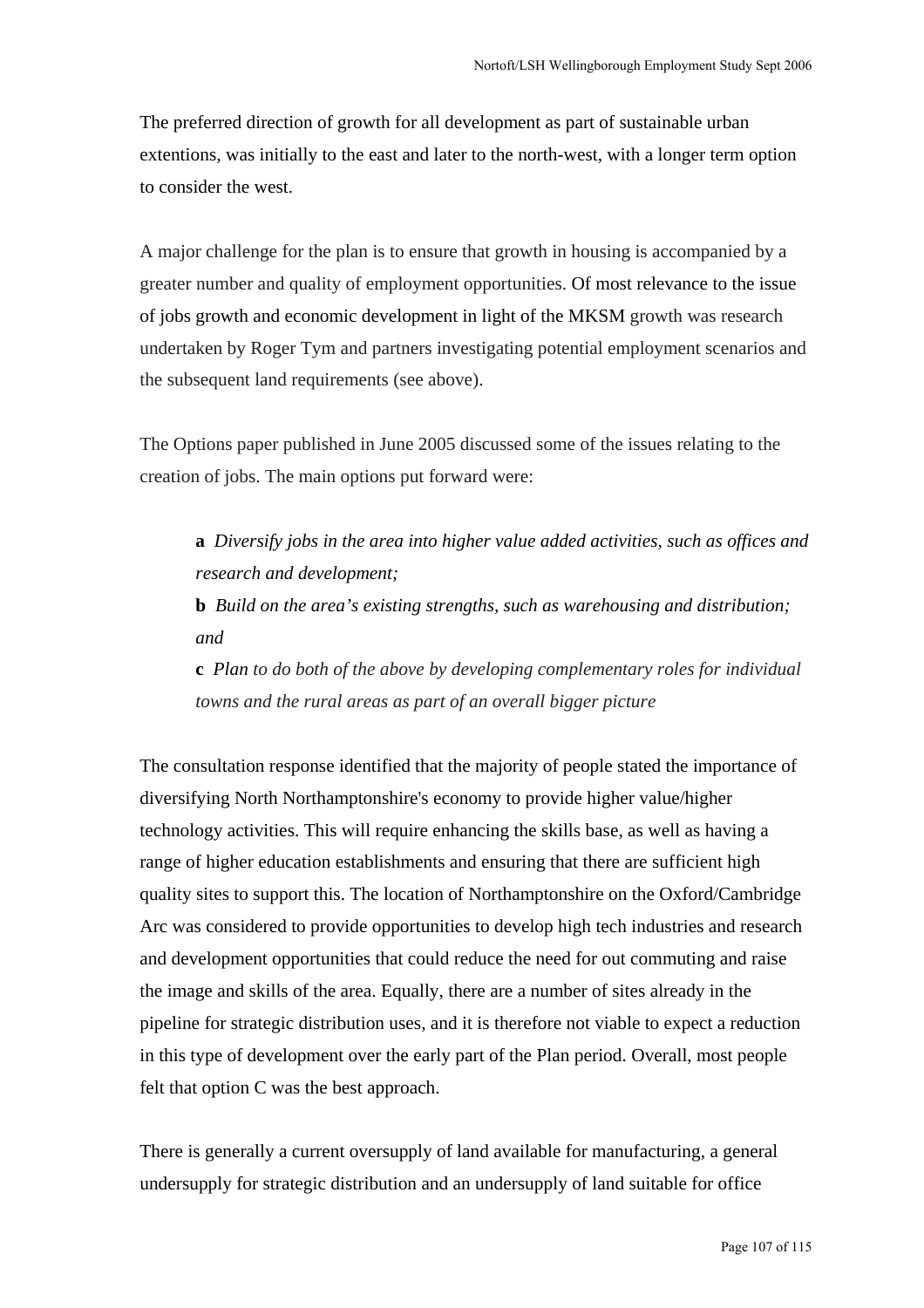The preferred direction of growth for all development as part of sustainable urban extentions, was initially to the east and later to the north-west, with a longer term option to consider the west.

A major challenge for the plan is to ensure that growth in housing is accompanied by a greater number and quality of employment opportunities. Of most relevance to the issue of jobs growth and economic development in light of the MKSM growth was research undertaken by Roger Tym and partners investigating potential employment scenarios and the subsequent land requirements (see above).

The Options paper published in June 2005 discussed some of the issues relating to the creation of jobs. The main options put forward were:

**a** *Diversify jobs in the area into higher value added activities, such as offices and research and development;* **b** *Build on the area's existing strengths, such as warehousing and distribution;* 

*and*

**c** *Plan to do both of the above by developing complementary roles for individual towns and the rural areas as part of an overall bigger picture*

The consultation response identified that the majority of people stated the importance of diversifying North Northamptonshire's economy to provide higher value/higher technology activities. This will require enhancing the skills base, as well as having a range of higher education establishments and ensuring that there are sufficient high quality sites to support this. The location of Northamptonshire on the Oxford/Cambridge Arc was considered to provide opportunities to develop high tech industries and research and development opportunities that could reduce the need for out commuting and raise the image and skills of the area. Equally, there are a number of sites already in the pipeline for strategic distribution uses, and it is therefore not viable to expect a reduction in this type of development over the early part of the Plan period. Overall, most people felt that option C was the best approach.

There is generally a current oversupply of land available for manufacturing, a general undersupply for strategic distribution and an undersupply of land suitable for office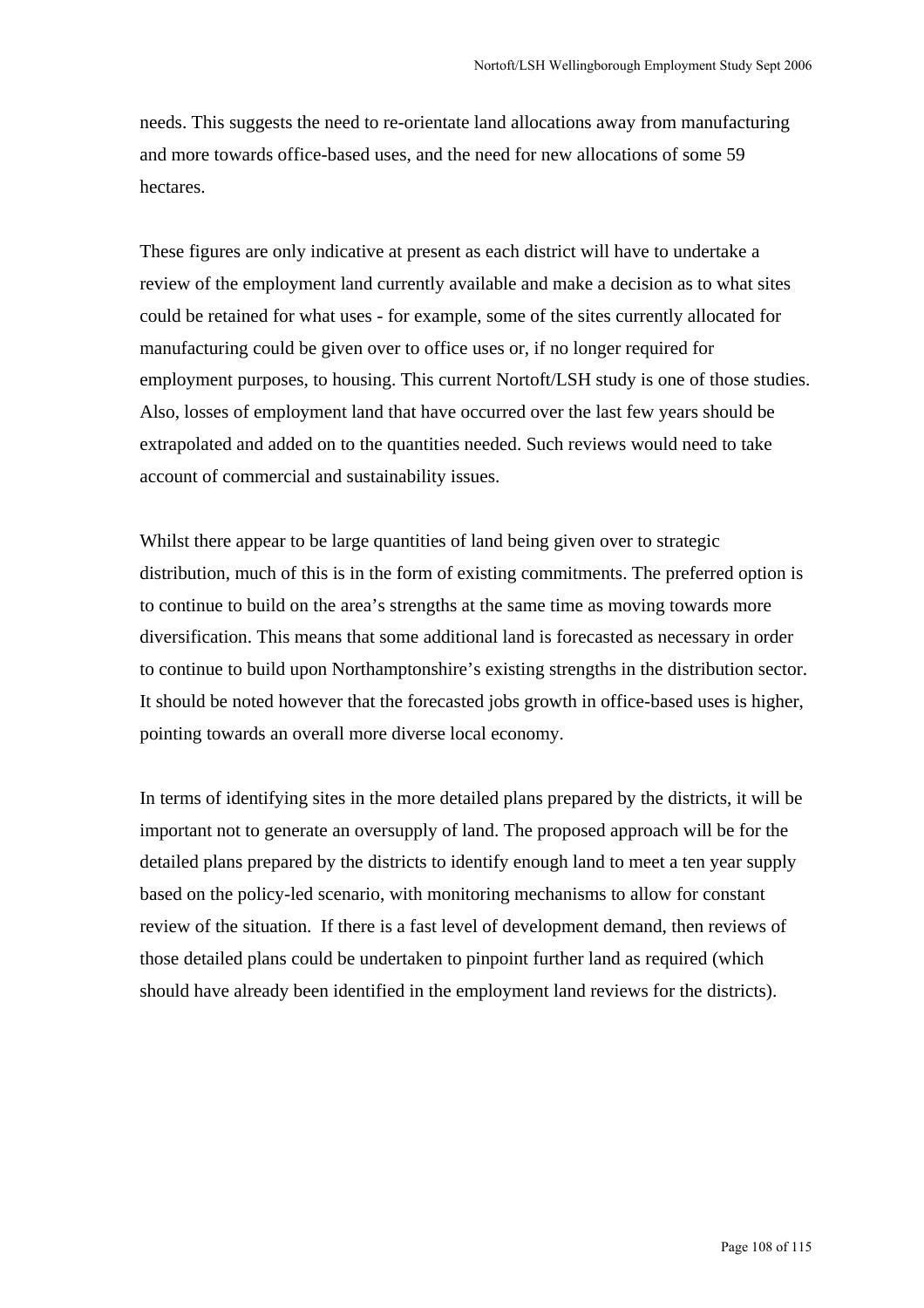needs. This suggests the need to re-orientate land allocations away from manufacturing and more towards office-based uses, and the need for new allocations of some 59 hectares.

These figures are only indicative at present as each district will have to undertake a review of the employment land currently available and make a decision as to what sites could be retained for what uses - for example, some of the sites currently allocated for manufacturing could be given over to office uses or, if no longer required for employment purposes, to housing. This current Nortoft/LSH study is one of those studies. Also, losses of employment land that have occurred over the last few years should be extrapolated and added on to the quantities needed. Such reviews would need to take account of commercial and sustainability issues.

Whilst there appear to be large quantities of land being given over to strategic distribution, much of this is in the form of existing commitments. The preferred option is to continue to build on the area's strengths at the same time as moving towards more diversification. This means that some additional land is forecasted as necessary in order to continue to build upon Northamptonshire's existing strengths in the distribution sector. It should be noted however that the forecasted jobs growth in office-based uses is higher, pointing towards an overall more diverse local economy.

In terms of identifying sites in the more detailed plans prepared by the districts, it will be important not to generate an oversupply of land. The proposed approach will be for the detailed plans prepared by the districts to identify enough land to meet a ten year supply based on the policy-led scenario, with monitoring mechanisms to allow for constant review of the situation. If there is a fast level of development demand, then reviews of those detailed plans could be undertaken to pinpoint further land as required (which should have already been identified in the employment land reviews for the districts).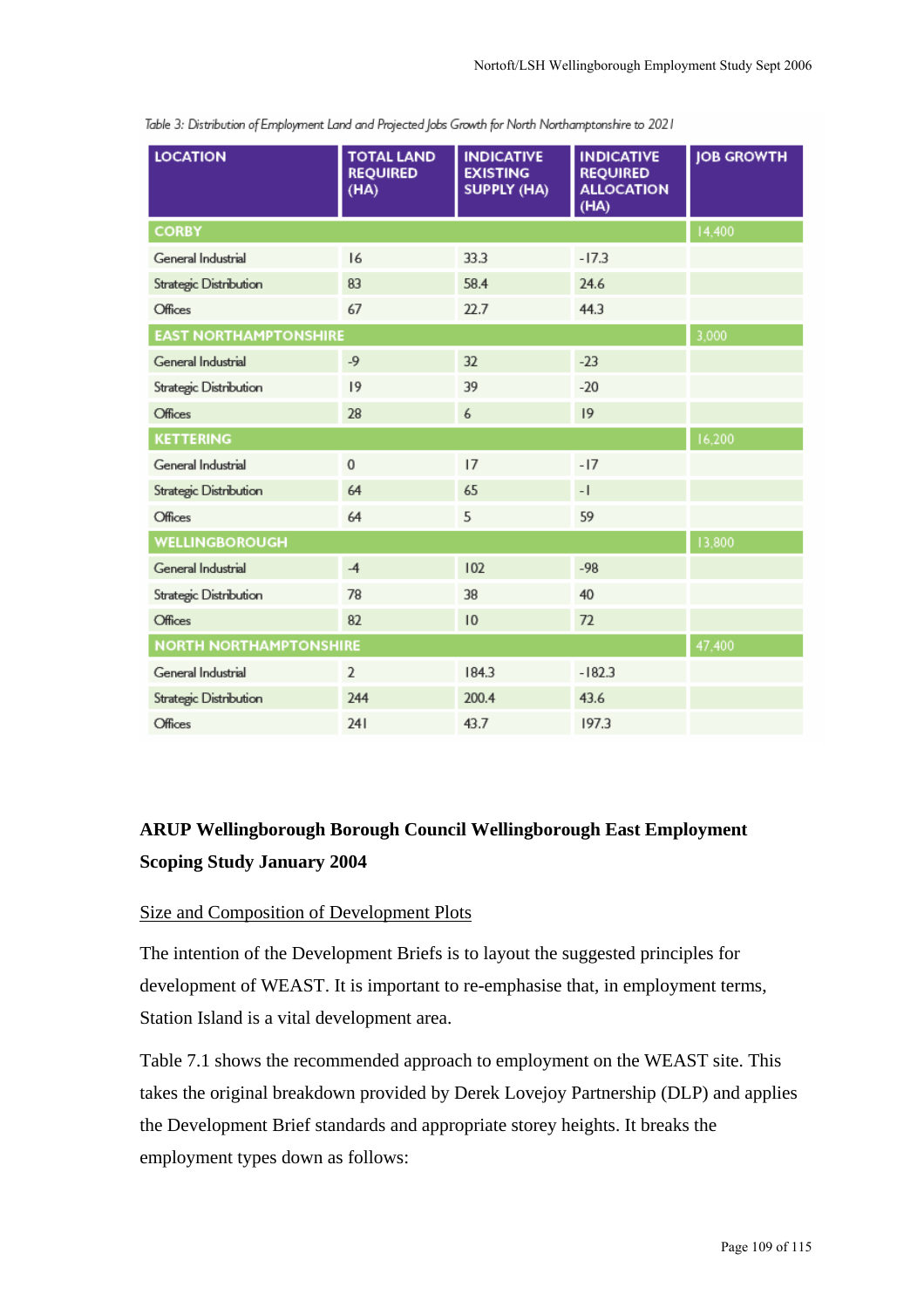| <b>LOCATION</b>               | <b>TOTAL LAND</b><br><b>REQUIRED</b><br>(HA) | <b>INDICATIVE</b><br><b>EXISTING</b><br><b>SUPPLY (HA)</b> | <b>INDICATIVE</b><br><b>REQUIRED</b><br><b>ALLOCATION</b><br>(HA) | <b>JOB GROWTH</b> |  |
|-------------------------------|----------------------------------------------|------------------------------------------------------------|-------------------------------------------------------------------|-------------------|--|
| <b>CORBY</b>                  | 14,400                                       |                                                            |                                                                   |                   |  |
| General Industrial            | 16                                           | 33.3                                                       | $-17.3$                                                           |                   |  |
| Strategic Distribution        | 83                                           | 58.4                                                       | 24.6                                                              |                   |  |
| Offices                       | 67                                           | 22.7                                                       | 44.3                                                              |                   |  |
| <b>EAST NORTHAMPTONSHIRE</b>  | 3,000                                        |                                                            |                                                                   |                   |  |
| General Industrial            | $-9$                                         | 32                                                         | $-23$                                                             |                   |  |
| Strategic Distribution        | 9                                            | 39                                                         | $-20$                                                             |                   |  |
| <b>Offices</b>                | 28                                           | 6                                                          | 9                                                                 |                   |  |
| <b>KETTERING</b>              |                                              |                                                            |                                                                   | 16,200            |  |
| General Industrial            | $\mathbf 0$                                  | 17                                                         | $-17$                                                             |                   |  |
| Strategic Distribution        | 64                                           | 65                                                         | $-1$                                                              |                   |  |
| Offices                       | 64                                           | 5                                                          | 59                                                                |                   |  |
| WELLINGBOROUGH                |                                              |                                                            |                                                                   | 13,800            |  |
| General Industrial            | $-4$                                         | 102                                                        | $-98$                                                             |                   |  |
| Strategic Distribution        | 78                                           | 38                                                         | 40                                                                |                   |  |
| Offices                       | 82                                           | 10                                                         | 72                                                                |                   |  |
| <b>NORTH NORTHAMPTONSHIRE</b> | 47,400                                       |                                                            |                                                                   |                   |  |
| General Industrial            | 2                                            | 184.3                                                      | $-182.3$                                                          |                   |  |
| Strategic Distribution        | 244                                          | 200.4                                                      | 43.6                                                              |                   |  |
| Offices                       | 241                                          | 43.7                                                       | 197.3                                                             |                   |  |

Table 3: Distribution of Employment Land and Projected Jobs Growth for North Northamptonshire to 2021

# **ARUP Wellingborough Borough Council Wellingborough East Employment Scoping Study January 2004**

### Size and Composition of Development Plots

The intention of the Development Briefs is to layout the suggested principles for development of WEAST. It is important to re-emphasise that, in employment terms, Station Island is a vital development area.

Table 7.1 shows the recommended approach to employment on the WEAST site. This takes the original breakdown provided by Derek Lovejoy Partnership (DLP) and applies the Development Brief standards and appropriate storey heights. It breaks the employment types down as follows: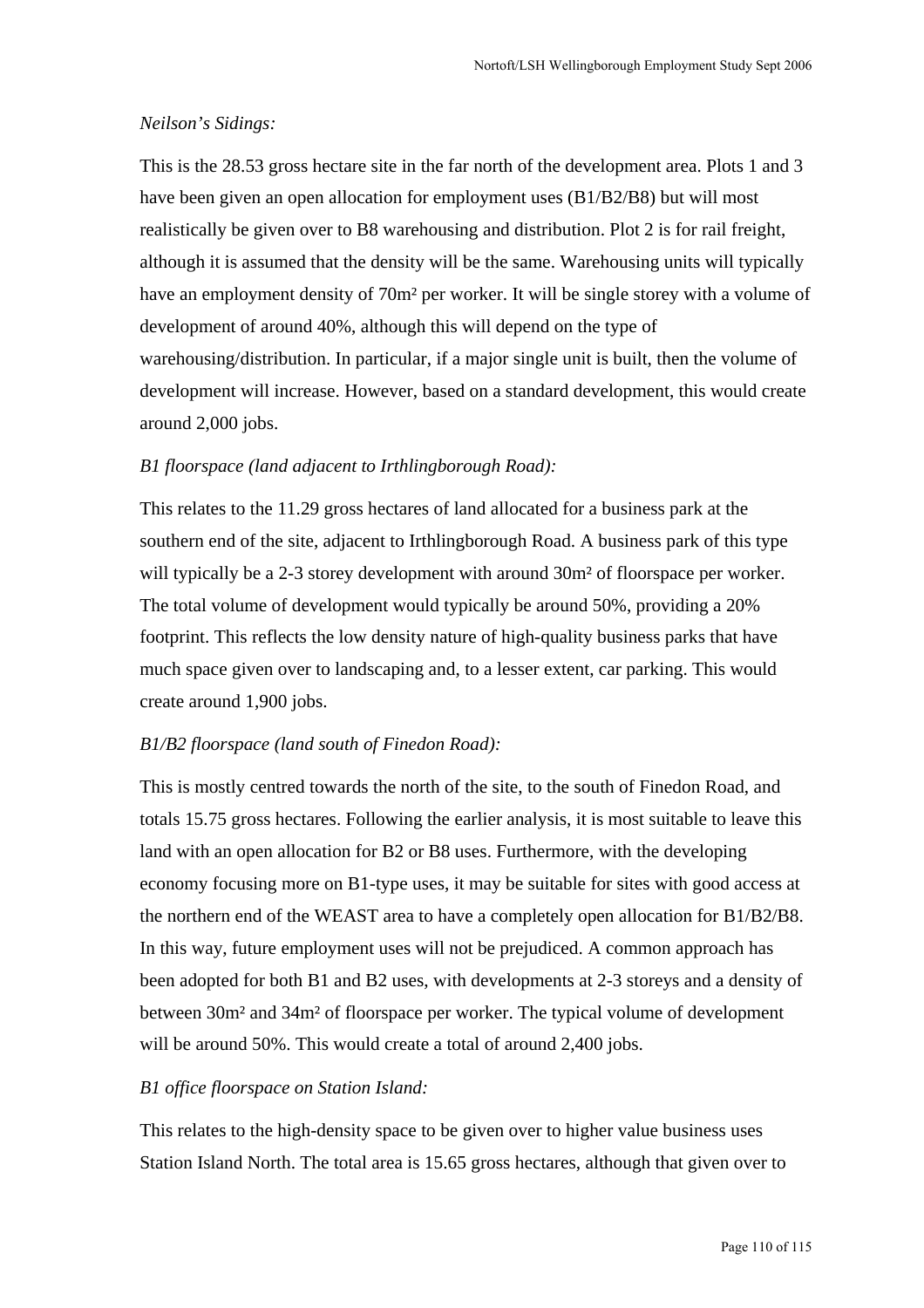### *Neilson's Sidings:*

This is the 28.53 gross hectare site in the far north of the development area. Plots 1 and 3 have been given an open allocation for employment uses (B1/B2/B8) but will most realistically be given over to B8 warehousing and distribution. Plot 2 is for rail freight, although it is assumed that the density will be the same. Warehousing units will typically have an employment density of 70m² per worker. It will be single storey with a volume of development of around 40%, although this will depend on the type of warehousing/distribution. In particular, if a major single unit is built, then the volume of development will increase. However, based on a standard development, this would create around 2,000 jobs.

### *B1 floorspace (land adjacent to Irthlingborough Road):*

This relates to the 11.29 gross hectares of land allocated for a business park at the southern end of the site, adjacent to Irthlingborough Road. A business park of this type will typically be a 2-3 storey development with around  $30m^2$  of floorspace per worker. The total volume of development would typically be around 50%, providing a 20% footprint. This reflects the low density nature of high-quality business parks that have much space given over to landscaping and, to a lesser extent, car parking. This would create around 1,900 jobs.

### *B1/B2 floorspace (land south of Finedon Road):*

This is mostly centred towards the north of the site, to the south of Finedon Road, and totals 15.75 gross hectares. Following the earlier analysis, it is most suitable to leave this land with an open allocation for B2 or B8 uses. Furthermore, with the developing economy focusing more on B1-type uses, it may be suitable for sites with good access at the northern end of the WEAST area to have a completely open allocation for B1/B2/B8. In this way, future employment uses will not be prejudiced. A common approach has been adopted for both B1 and B2 uses, with developments at 2-3 storeys and a density of between 30m² and 34m² of floorspace per worker. The typical volume of development will be around 50%. This would create a total of around 2,400 jobs.

#### *B1 office floorspace on Station Island:*

This relates to the high-density space to be given over to higher value business uses Station Island North. The total area is 15.65 gross hectares, although that given over to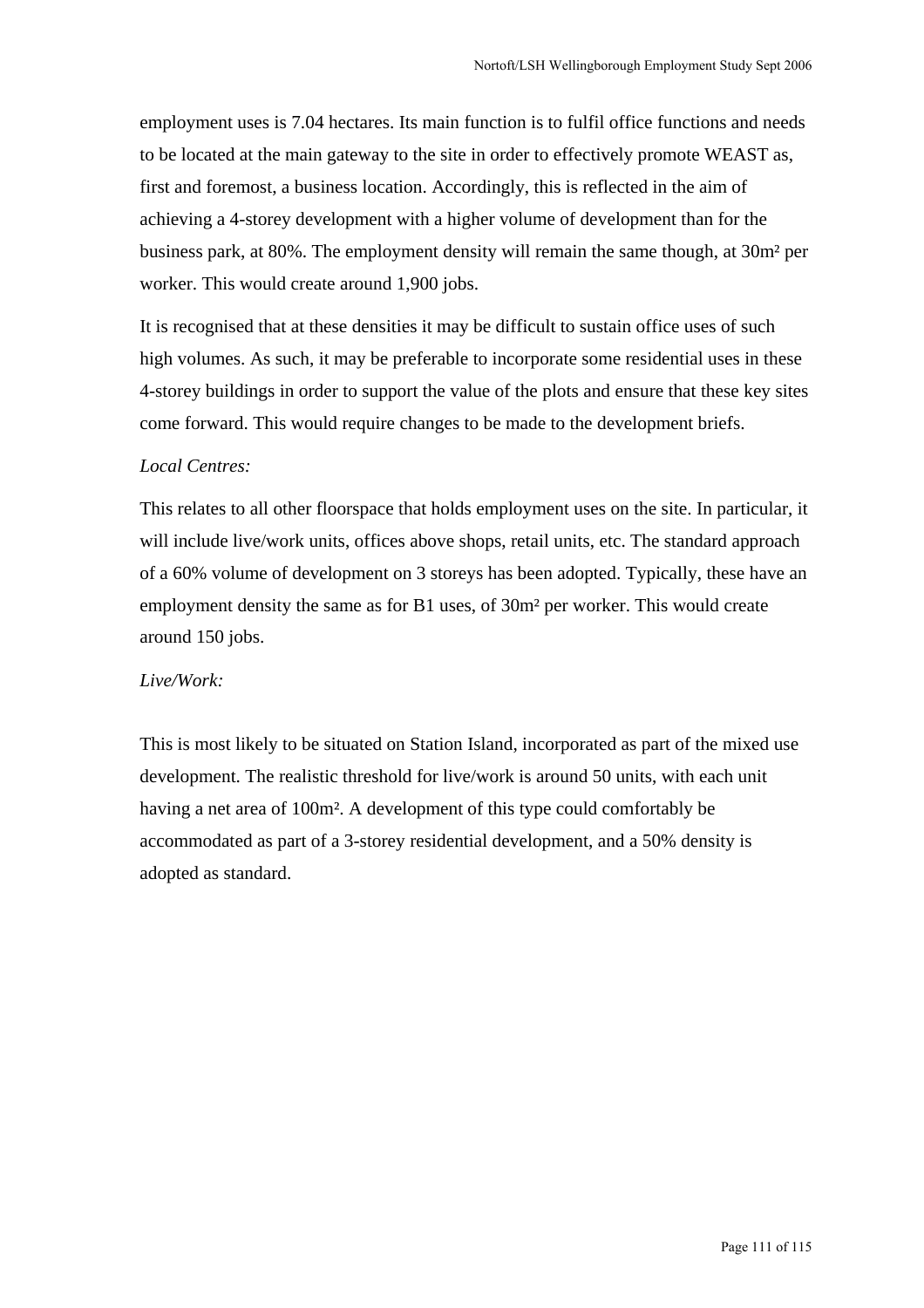employment uses is 7.04 hectares. Its main function is to fulfil office functions and needs to be located at the main gateway to the site in order to effectively promote WEAST as, first and foremost, a business location. Accordingly, this is reflected in the aim of achieving a 4-storey development with a higher volume of development than for the business park, at 80%. The employment density will remain the same though, at 30m² per worker. This would create around 1,900 jobs.

It is recognised that at these densities it may be difficult to sustain office uses of such high volumes. As such, it may be preferable to incorporate some residential uses in these 4-storey buildings in order to support the value of the plots and ensure that these key sites come forward. This would require changes to be made to the development briefs.

### *Local Centres:*

This relates to all other floorspace that holds employment uses on the site. In particular, it will include live/work units, offices above shops, retail units, etc. The standard approach of a 60% volume of development on 3 storeys has been adopted. Typically, these have an employment density the same as for B1 uses, of 30m² per worker. This would create around 150 jobs.

### *Live/Work:*

This is most likely to be situated on Station Island, incorporated as part of the mixed use development. The realistic threshold for live/work is around 50 units, with each unit having a net area of 100m². A development of this type could comfortably be accommodated as part of a 3-storey residential development, and a 50% density is adopted as standard.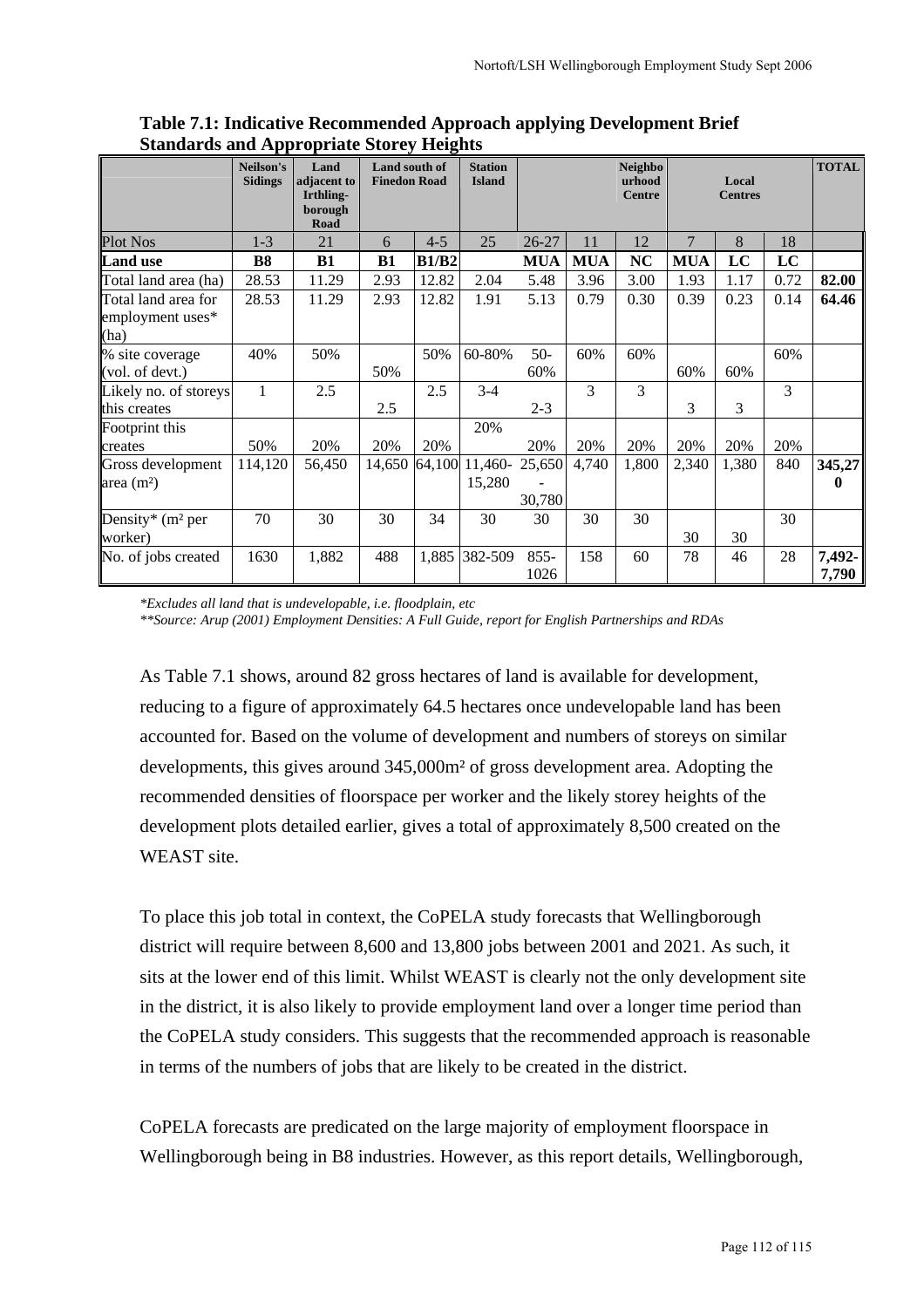|                                                 | Neilson's<br><b>Sidings</b> | Land<br>adjacent to<br>Irthling-<br>borough<br>Road | Land south of<br><b>Finedon Road</b> |              | <b>Station</b><br><b>Island</b> |                  |            | <b>Neighbo</b><br>urhood<br><b>Centre</b> |            | Local<br><b>Centres</b> |      | <b>TOTAL</b>           |
|-------------------------------------------------|-----------------------------|-----------------------------------------------------|--------------------------------------|--------------|---------------------------------|------------------|------------|-------------------------------------------|------------|-------------------------|------|------------------------|
| <b>Plot Nos</b>                                 | $1 - 3$                     | 21                                                  | 6                                    | $4 - 5$      | 25                              | 26-27            | 11         | 12                                        | 7          | 8                       | 18   |                        |
| <b>Land use</b>                                 | <b>B8</b>                   | <b>B1</b>                                           | B1                                   | <b>B1/B2</b> |                                 | <b>MUA</b>       | <b>MUA</b> | <b>NC</b>                                 | <b>MUA</b> | LC                      | LC   |                        |
| Total land area (ha)                            | 28.53                       | 11.29                                               | 2.93                                 | 12.82        | 2.04                            | 5.48             | 3.96       | 3.00                                      | 1.93       | 1.17                    | 0.72 | 82.00                  |
| Total land area for<br>employment uses*<br>(ha) | 28.53                       | 11.29                                               | 2.93                                 | 12.82        | 1.91                            | 5.13             | 0.79       | 0.30                                      | 0.39       | 0.23                    | 0.14 | 64.46                  |
| % site coverage<br>(vol. of devt.)              | 40%                         | 50%                                                 | 50%                                  | 50%          | 60-80%                          | $50-$<br>60%     | 60%        | 60%                                       | 60%        | 60%                     | 60%  |                        |
| Likely no. of storeys<br>this creates           | 1                           | 2.5                                                 | 2.5                                  | 2.5          | $3 - 4$                         | $2 - 3$          | 3          | 3                                         | 3          | 3                       | 3    |                        |
| Footprint this<br>creates                       | 50%                         | 20%                                                 | 20%                                  | 20%          | 20%                             | 20%              | 20%        | 20%                                       | 20%        | 20%                     | 20%  |                        |
| Gross development<br>area $(m2)$                | 114,120                     | 56,450                                              | 14,650                               | 64,100       | 11,460-<br>15,280               | 25,650<br>30,780 | 4,740      | 1,800                                     | 2,340      | 1,380                   | 840  | 345,27<br>$\mathbf{0}$ |
| Density* (m <sup>2</sup> per<br>worker)         | 70                          | 30                                                  | 30                                   | 34           | 30                              | 30               | 30         | 30                                        | 30         | 30                      | 30   |                        |
| No. of jobs created                             | 1630                        | 1,882                                               | 488                                  | 1,885        | 382-509                         | $855 -$<br>1026  | 158        | 60                                        | 78         | 46                      | 28   | 7,492-<br>7,790        |

**Table 7.1: Indicative Recommended Approach applying Development Brief Standards and Appropriate Storey Heights** 

 *\*Excludes all land that is undevelopable, i.e. floodplain, etc \*\*Source: Arup (2001) Employment Densities: A Full Guide, report for English Partnerships and RDAs* 

As Table 7.1 shows, around 82 gross hectares of land is available for development, reducing to a figure of approximately 64.5 hectares once undevelopable land has been accounted for. Based on the volume of development and numbers of storeys on similar developments, this gives around 345,000m² of gross development area. Adopting the recommended densities of floorspace per worker and the likely storey heights of the development plots detailed earlier, gives a total of approximately 8,500 created on the WEAST site.

To place this job total in context, the CoPELA study forecasts that Wellingborough district will require between 8,600 and 13,800 jobs between 2001 and 2021. As such, it sits at the lower end of this limit. Whilst WEAST is clearly not the only development site in the district, it is also likely to provide employment land over a longer time period than the CoPELA study considers. This suggests that the recommended approach is reasonable in terms of the numbers of jobs that are likely to be created in the district.

CoPELA forecasts are predicated on the large majority of employment floorspace in Wellingborough being in B8 industries. However, as this report details, Wellingborough,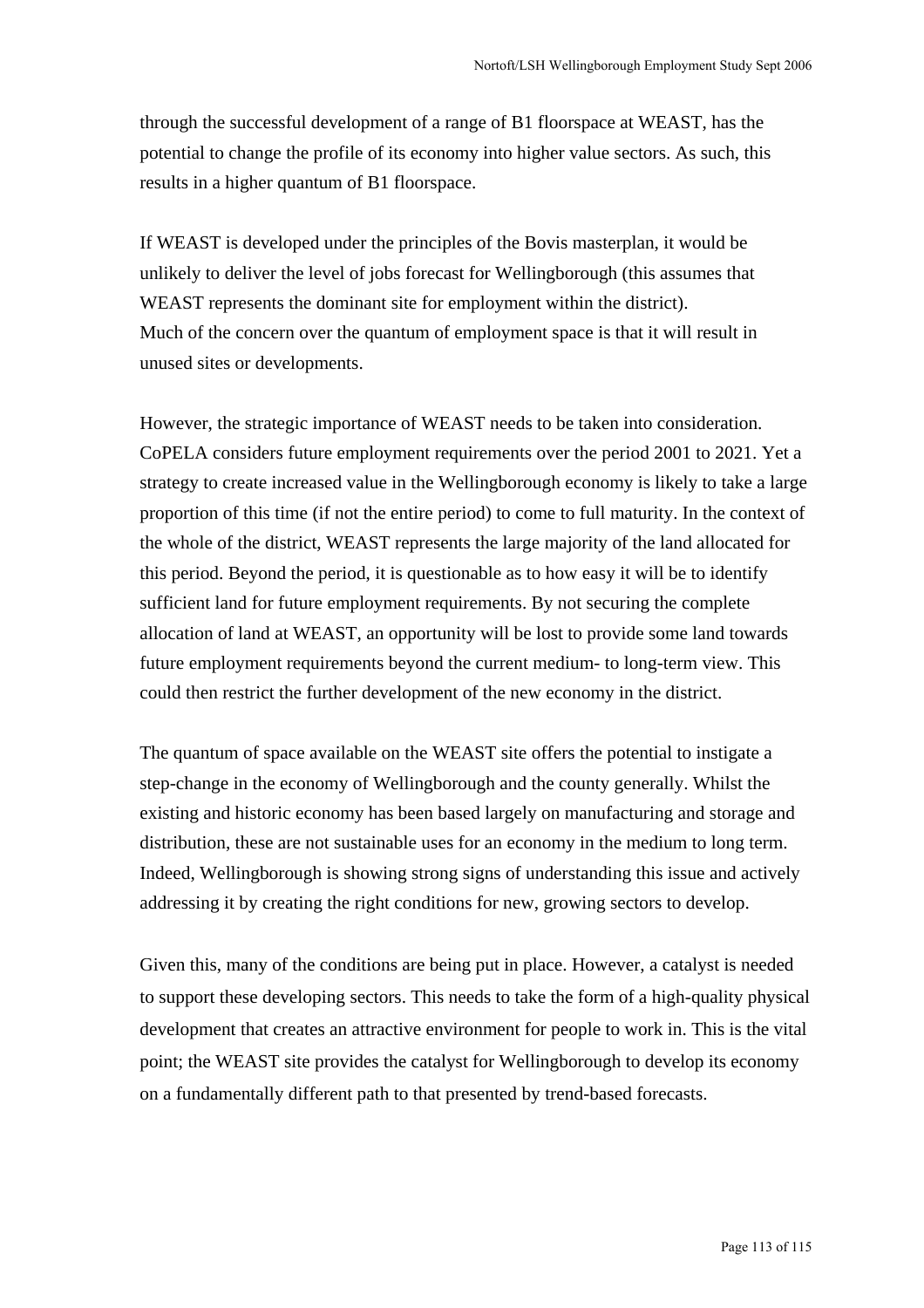through the successful development of a range of B1 floorspace at WEAST, has the potential to change the profile of its economy into higher value sectors. As such, this results in a higher quantum of B1 floorspace.

If WEAST is developed under the principles of the Bovis masterplan, it would be unlikely to deliver the level of jobs forecast for Wellingborough (this assumes that WEAST represents the dominant site for employment within the district). Much of the concern over the quantum of employment space is that it will result in unused sites or developments.

However, the strategic importance of WEAST needs to be taken into consideration. CoPELA considers future employment requirements over the period 2001 to 2021. Yet a strategy to create increased value in the Wellingborough economy is likely to take a large proportion of this time (if not the entire period) to come to full maturity. In the context of the whole of the district, WEAST represents the large majority of the land allocated for this period. Beyond the period, it is questionable as to how easy it will be to identify sufficient land for future employment requirements. By not securing the complete allocation of land at WEAST, an opportunity will be lost to provide some land towards future employment requirements beyond the current medium- to long-term view. This could then restrict the further development of the new economy in the district.

The quantum of space available on the WEAST site offers the potential to instigate a step-change in the economy of Wellingborough and the county generally. Whilst the existing and historic economy has been based largely on manufacturing and storage and distribution, these are not sustainable uses for an economy in the medium to long term. Indeed, Wellingborough is showing strong signs of understanding this issue and actively addressing it by creating the right conditions for new, growing sectors to develop.

Given this, many of the conditions are being put in place. However, a catalyst is needed to support these developing sectors. This needs to take the form of a high-quality physical development that creates an attractive environment for people to work in. This is the vital point; the WEAST site provides the catalyst for Wellingborough to develop its economy on a fundamentally different path to that presented by trend-based forecasts.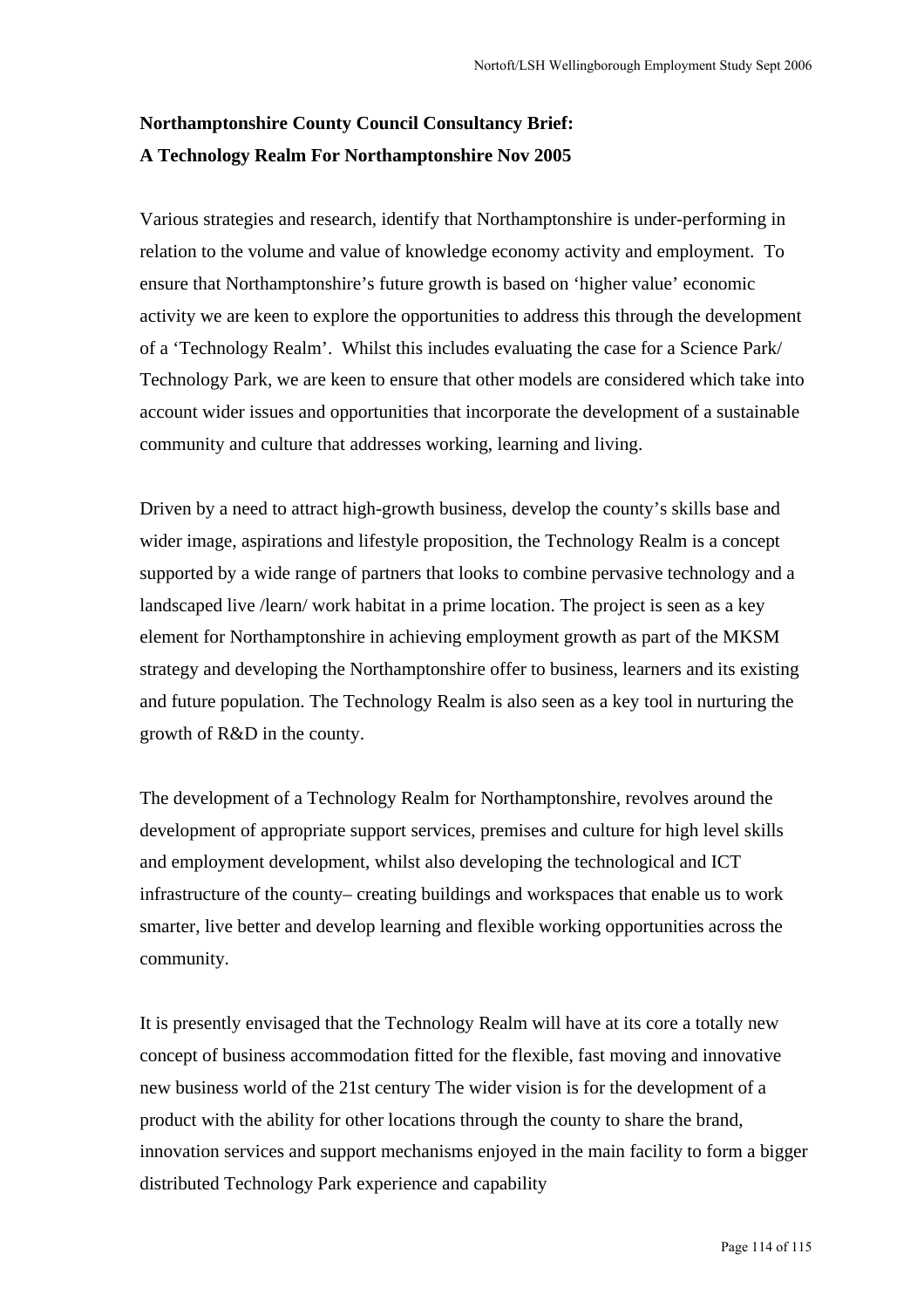# **Northamptonshire County Council Consultancy Brief: A Technology Realm For Northamptonshire Nov 2005**

Various strategies and research, identify that Northamptonshire is under-performing in relation to the volume and value of knowledge economy activity and employment. To ensure that Northamptonshire's future growth is based on 'higher value' economic activity we are keen to explore the opportunities to address this through the development of a 'Technology Realm'. Whilst this includes evaluating the case for a Science Park/ Technology Park, we are keen to ensure that other models are considered which take into account wider issues and opportunities that incorporate the development of a sustainable community and culture that addresses working, learning and living.

Driven by a need to attract high-growth business, develop the county's skills base and wider image, aspirations and lifestyle proposition, the Technology Realm is a concept supported by a wide range of partners that looks to combine pervasive technology and a landscaped live /learn/ work habitat in a prime location. The project is seen as a key element for Northamptonshire in achieving employment growth as part of the MKSM strategy and developing the Northamptonshire offer to business, learners and its existing and future population. The Technology Realm is also seen as a key tool in nurturing the growth of R&D in the county.

The development of a Technology Realm for Northamptonshire, revolves around the development of appropriate support services, premises and culture for high level skills and employment development, whilst also developing the technological and ICT infrastructure of the county– creating buildings and workspaces that enable us to work smarter, live better and develop learning and flexible working opportunities across the community.

It is presently envisaged that the Technology Realm will have at its core a totally new concept of business accommodation fitted for the flexible, fast moving and innovative new business world of the 21st century The wider vision is for the development of a product with the ability for other locations through the county to share the brand, innovation services and support mechanisms enjoyed in the main facility to form a bigger distributed Technology Park experience and capability